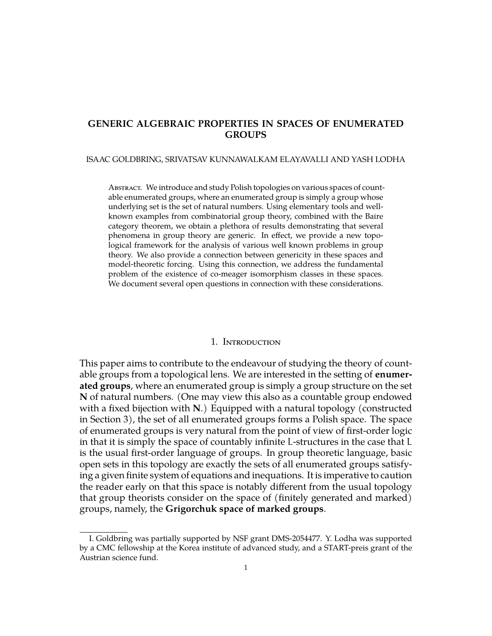## **GENERIC ALGEBRAIC PROPERTIES IN SPACES OF ENUMERATED GROUPS**

#### ISAAC GOLDBRING, SRIVATSAV KUNNAWALKAM ELAYAVALLI AND YASH LODHA

Abstract. We introduce and study Polish topologies on various spaces of countable enumerated groups, where an enumerated group is simply a group whose underlying set is the set of natural numbers. Using elementary tools and wellknown examples from combinatorial group theory, combined with the Baire category theorem, we obtain a plethora of results demonstrating that several phenomena in group theory are generic. In effect, we provide a new topological framework for the analysis of various well known problems in group theory. We also provide a connection between genericity in these spaces and model-theoretic forcing. Using this connection, we address the fundamental problem of the existence of co-meager isomorphism classes in these spaces. We document several open questions in connection with these considerations.

#### 1. Introduction

This paper aims to contribute to the endeavour of studying the theory of countable groups from a topological lens. We are interested in the setting of **enumerated groups**, where an enumerated group is simply a group structure on the set **N** of natural numbers. (One may view this also as a countable group endowed with a fixed bijection with **N**.) Equipped with a natural topology (constructed in Section [3\)](#page-11-0), the set of all enumerated groups forms a Polish space. The space of enumerated groups is very natural from the point of view of first-order logic in that it is simply the space of countably infinite L-structures in the case that L is the usual first-order language of groups. In group theoretic language, basic open sets in this topology are exactly the sets of all enumerated groups satisfying a given finite system of equations and inequations. It is imperative to caution the reader early on that this space is notably different from the usual topology that group theorists consider on the space of (finitely generated and marked) groups, namely, the **Grigorchuk space of marked groups**.

I. Goldbring was partially supported by NSF grant DMS-2054477. Y. Lodha was supported by a CMC fellowship at the Korea institute of advanced study, and a START-preis grant of the Austrian science fund.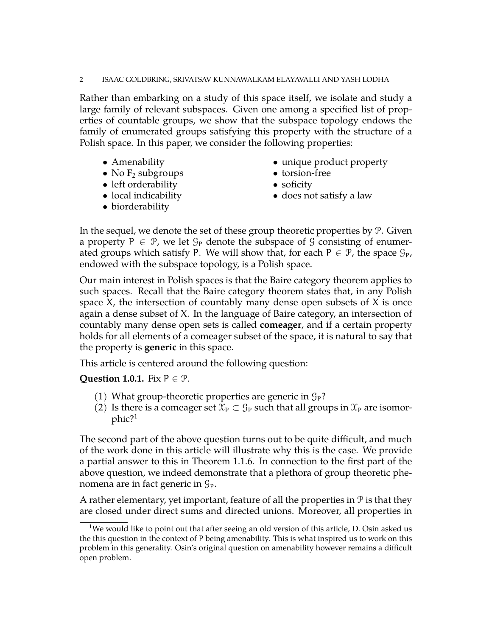#### 2 ISAAC GOLDBRING, SRIVATSAV KUNNAWALKAM ELAYAVALLI AND YASH LODHA

Rather than embarking on a study of this space itself, we isolate and study a large family of relevant subspaces. Given one among a specified list of properties of countable groups, we show that the subspace topology endows the family of enumerated groups satisfying this property with the structure of a Polish space. In this paper, we consider the following properties:

- Amenability
- No  $\mathbf{F}_2$  subgroups
- left orderability
- local indicability
- biorderability
- unique product property
- torsion-free
- soficity
- does not satisfy a law

In the sequel, we denote the set of these group theoretic properties by  $P$ . Given a property  $P \in \mathcal{P}$ , we let  $\mathcal{G}_P$  denote the subspace of  $\mathcal{G}$  consisting of enumerated groups which satisfy P. We will show that, for each  $P \in \mathcal{P}$ , the space  $\mathcal{G}_P$ , endowed with the subspace topology, is a Polish space.

Our main interest in Polish spaces is that the Baire category theorem applies to such spaces. Recall that the Baire category theorem states that, in any Polish space X, the intersection of countably many dense open subsets of X is once again a dense subset of X. In the language of Baire category, an intersection of countably many dense open sets is called **comeager**, and if a certain property holds for all elements of a comeager subset of the space, it is natural to say that the property is **generic** in this space.

This article is centered around the following question:

<span id="page-1-1"></span>**Question 1.0.1.** Fix  $P \in \mathcal{P}$ .

- (1) What group-theoretic properties are generic in  $\mathcal{G}_P$ ?
- (2) Is there is a comeager set  $\mathfrak{X}_P \subset \mathfrak{G}_P$  such that all groups in  $\mathfrak{X}_P$  are isomorphic?[1](#page-1-0)

The second part of the above question turns out to be quite difficult, and much of the work done in this article will illustrate why this is the case. We provide a partial answer to this in Theorem [1.1.6.](#page-4-0) In connection to the first part of the above question, we indeed demonstrate that a plethora of group theoretic phenomena are in fact generic in  $\mathcal{G}_P$ .

A rather elementary, yet important, feature of all the properties in  $P$  is that they are closed under direct sums and directed unions. Moreover, all properties in

<span id="page-1-0"></span><sup>&</sup>lt;sup>1</sup>We would like to point out that after seeing an old version of this article, D. Osin asked us the this question in the context of P being amenability. This is what inspired us to work on this problem in this generality. Osin's original question on amenability however remains a difficult open problem.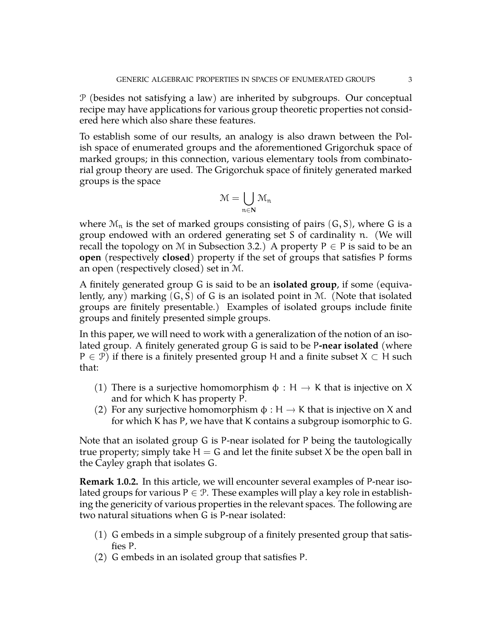P (besides not satisfying a law) are inherited by subgroups. Our conceptual recipe may have applications for various group theoretic properties not considered here which also share these features.

To establish some of our results, an analogy is also drawn between the Polish space of enumerated groups and the aforementioned Grigorchuk space of marked groups; in this connection, various elementary tools from combinatorial group theory are used. The Grigorchuk space of finitely generated marked groups is the space

$$
\mathfrak{M}=\bigcup_{\mathfrak{n}\in\mathbf{N}}\mathfrak{M}_\mathfrak{n}
$$

where  $\mathcal{M}_n$  is the set of marked groups consisting of pairs  $(G, S)$ , where G is a group endowed with an ordered generating set S of cardinality n. (We will recall the topology on M in Subsection [3.2.](#page-14-0)) A property  $P \in P$  is said to be an **open** (respectively **closed**) property if the set of groups that satisfies P forms an open (respectively closed) set in M.

A finitely generated group G is said to be an **isolated group**, if some (equivalently, any) marking  $(G, S)$  of G is an isolated point in M. (Note that isolated groups are finitely presentable.) Examples of isolated groups include finite groups and finitely presented simple groups.

In this paper, we will need to work with a generalization of the notion of an isolated group. A finitely generated group G is said to be P**-near isolated** (where  $P \in \mathcal{P}$ ) if there is a finitely presented group H and a finite subset  $X \subset H$  such that:

- (1) There is a surjective homomorphism  $\phi : H \to K$  that is injective on X and for which K has property P.
- (2) For any surjective homomorphism  $\phi : H \to K$  that is injective on X and for which K has P, we have that K contains a subgroup isomorphic to G.

Note that an isolated group G is P-near isolated for P being the tautologically true property; simply take  $H = G$  and let the finite subset X be the open ball in the Cayley graph that isolates G.

**Remark 1.0.2.** In this article, we will encounter several examples of P-near isolated groups for various  $P \in \mathcal{P}$ . These examples will play a key role in establishing the genericity of various properties in the relevant spaces. The following are two natural situations when G is P-near isolated:

- (1) G embeds in a simple subgroup of a finitely presented group that satisfies P.
- (2) G embeds in an isolated group that satisfies P.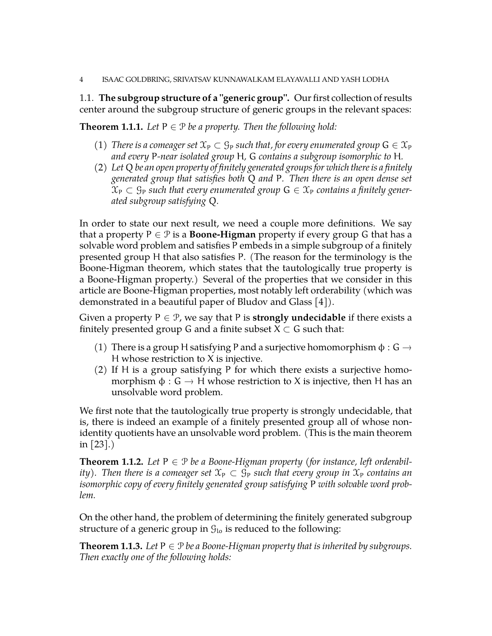### 4 ISAAC GOLDBRING, SRIVATSAV KUNNAWALKAM ELAYAVALLI AND YASH LODHA

1.1. **The subgroup structure of a "generic group".** Our first collection of results center around the subgroup structure of generic groups in the relevant spaces:

<span id="page-3-2"></span>**Theorem 1.1.1.** Let  $P \in \mathcal{P}$  be a property. Then the following hold:

- (1) *There is a comeager set*  $\mathfrak{X}_P \subset \mathfrak{G}_P$  *such that, for every enumerated group*  $G \in \mathfrak{X}_P$ *and every* P*-near isolated group* H*,* G *contains a subgroup isomorphic to* H*.*
- (2) *Let* Q *be an open property of finitely generated groups for which there is a finitely generated group that satisfies both* Q *and* P*. Then there is an open dense set*  $\mathfrak{X}_P \subset \mathfrak{G}_P$  such that every enumerated group  $G \in \mathfrak{X}_P$  contains a finitely gener*ated subgroup satisfying* Q*.*

In order to state our next result, we need a couple more definitions. We say that a property  $P \in \mathcal{P}$  is a **Boone-Higman** property if every group G that has a solvable word problem and satisfies P embeds in a simple subgroup of a finitely presented group H that also satisfies P. (The reason for the terminology is the Boone-Higman theorem, which states that the tautologically true property is a Boone-Higman property.) Several of the properties that we consider in this article are Boone-Higman properties, most notably left orderability (which was demonstrated in a beautiful paper of Bludov and Glass [\[4\]](#page-43-0)).

Given a property  $P \in \mathcal{P}$ , we say that P is **strongly undecidable** if there exists a finitely presented group G and a finite subset  $X \subset G$  such that:

- (1) There is a group H satisfying P and a surjective homomorphism  $\phi : G \rightarrow$ H whose restriction to  $X$  is injective.
- (2) If H is a group satisfying P for which there exists a surjective homomorphism  $\phi : G \to H$  whose restriction to X is injective, then H has an unsolvable word problem.

We first note that the tautologically true property is strongly undecidable, that is, there is indeed an example of a finitely presented group all of whose nonidentity quotients have an unsolvable word problem. (This is the main theorem in [\[23\]](#page-44-0).)

<span id="page-3-0"></span>**Theorem 1.1.2.** Let  $P \in \mathcal{P}$  be a Boone-Higman property (for instance, left orderabil*ity*). Then there is a comeager set  $\mathfrak{X}_P \subset \mathfrak{G}_P$  such that every group in  $\mathfrak{X}_P$  contains an *isomorphic copy of every finitely generated group satisfying* P *with solvable word problem.*

On the other hand, the problem of determining the finitely generated subgroup structure of a generic group in  $\mathcal{G}_{10}$  is reduced to the following:

<span id="page-3-1"></span>**Theorem 1.1.3.** *Let*  $P \in \mathcal{P}$  *be a Boone-Higman property that is inherited by subgroups. Then exactly one of the following holds:*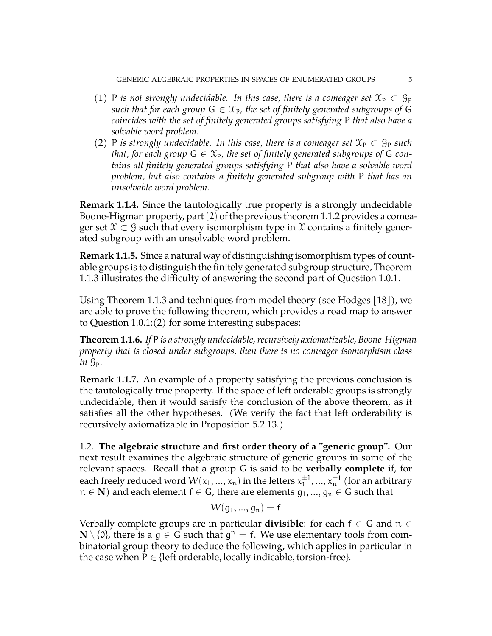- (1) P *is not strongly undecidable. In this case, there is a comeager set*  $\mathfrak{X}_P \subset \mathcal{G}_P$ *such that for each group*  $G \in \mathfrak{X}_P$ , the set of finitely generated subgroups of G *coincides with the set of finitely generated groups satisfying* P *that also have a solvable word problem.*
- (2) P *is strongly undecidable. In this case, there is a comeager set*  $\mathfrak{X}_P \subset \mathfrak{G}_P$  *such that, for each group*  $G \in \mathcal{X}_P$ *, the set of finitely generated subgroups of* G *contains all finitely generated groups satisfying* P *that also have a solvable word problem, but also contains a finitely generated subgroup with* P *that has an unsolvable word problem.*

**Remark 1.1.4.** Since the tautologically true property is a strongly undecidable Boone-Higman property, part(2) of the previous theorem [1.1.2](#page-3-0) provides a comeager set  $\mathcal{X} \subset \mathcal{G}$  such that every isomorphism type in X contains a finitely generated subgroup with an unsolvable word problem.

**Remark 1.1.5.** Since a natural way of distinguishing isomorphism types of countable groups is to distinguish the finitely generated subgroup structure, Theorem [1.1.3](#page-3-1) illustrates the difficulty of answering the second part of Question [1.0.1.](#page-1-1)

Using Theorem [1.1.3](#page-3-1) and techniques from model theory (see Hodges [\[18\]](#page-44-1)), we are able to prove the following theorem, which provides a road map to answer to Question [1.0.1:](#page-1-1)(2) for some interesting subspaces:

<span id="page-4-0"></span>**Theorem 1.1.6.** *If* P *is a strongly undecidable, recursively axiomatizable, Boone-Higman property that is closed under subgroups, then there is no comeager isomorphism class in* GP*.*

**Remark 1.1.7.** An example of a property satisfying the previous conclusion is the tautologically true property. If the space of left orderable groups is strongly undecidable, then it would satisfy the conclusion of the above theorem, as it satisfies all the other hypotheses. (We verify the fact that left orderability is recursively axiomatizable in Proposition [5.2.13.](#page-39-0))

1.2. **The algebraic structure and first order theory of a "generic group".** Our next result examines the algebraic structure of generic groups in some of the relevant spaces. Recall that a group G is said to be **verbally complete** if, for each freely reduced word  $W(\mathsf{x}_1,...,\mathsf{x}_\mathfrak{n})$  in the letters  $\mathsf{x}_1^{\pm 1}$  $x_1^{\pm 1},...,x_n^{\pm 1}$  (for an arbitrary  $n \in \mathbb{N}$ ) and each element  $f \in G$ , there are elements  $g_1, ..., g_n \in G$  such that

$$
W(\mathsf{g}_1,...,\mathsf{g}_n)=\mathsf{f}
$$

Verbally complete groups are in particular **divisible**: for each f ∈ G and n ∈ **N**  $\setminus$  {0}, there is a  $g \in G$  such that  $g<sup>n</sup> = f$ . We use elementary tools from combinatorial group theory to deduce the following, which applies in particular in the case when  $P \in \{left$  orderable, locally indicable, torsion-free}.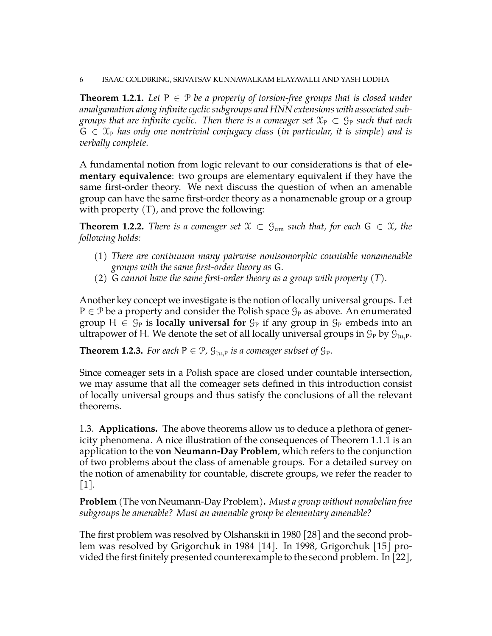<span id="page-5-0"></span>**Theorem 1.2.1.** *Let*  $P \in \mathcal{P}$  *be a property of torsion-free groups that is closed under amalgamation along infinite cyclic subgroups and HNN extensions with associated subgroups that are infinite cyclic. Then there is a comeager set*  $\mathfrak{X}_P \subset \mathfrak{G}_P$  *such that each*  $G \in \mathfrak{X}_P$  has only one nontrivial conjugacy class (in particular, it is simple) and is *verbally complete.*

A fundamental notion from logic relevant to our considerations is that of **elementary equivalence**: two groups are elementary equivalent if they have the same first-order theory. We next discuss the question of when an amenable group can have the same first-order theory as a nonamenable group or a group with property  $(T)$ , and prove the following:

<span id="page-5-2"></span>**Theorem 1.2.2.** *There is a comeager set*  $\mathcal{X} \subset \mathcal{G}_{am}$  *such that, for each*  $G \in \mathcal{X}$ *, the following holds:*

- (1) *There are continuum many pairwise nonisomorphic countable nonamenable groups with the same first-order theory as* G*.*
- (2) G *cannot have the same first-order theory as a group with property (T).*

Another key concept we investigate is the notion of locally universal groups. Let  $P \in \mathcal{P}$  be a property and consider the Polish space  $\mathcal{G}_P$  as above. An enumerated group  $H \in \mathcal{G}_P$  is **locally universal for**  $\mathcal{G}_P$  if any group in  $\mathcal{G}_P$  embeds into an ultrapower of H. We denote the set of all locally universal groups in  $\mathcal{G}_P$  by  $\mathcal{G}_{\text{lu},P}$ .

<span id="page-5-1"></span>**Theorem 1.2.3.** *For each*  $P \in \mathcal{P}$ ,  $\mathcal{G}_{\text{lu},P}$  *is a comeager subset of*  $\mathcal{G}_P$ *.* 

Since comeager sets in a Polish space are closed under countable intersection, we may assume that all the comeager sets defined in this introduction consist of locally universal groups and thus satisfy the conclusions of all the relevant theorems.

1.3. **Applications.** The above theorems allow us to deduce a plethora of genericity phenomena. A nice illustration of the consequences of Theorem [1.1.1](#page-3-2) is an application to the **von Neumann-Day Problem**, which refers to the conjunction of two problems about the class of amenable groups. For a detailed survey on the notion of amenability for countable, discrete groups, we refer the reader to  $|1|$ .

**Problem** (The von Neumann-Day Problem)**.** *Must a group without nonabelian free subgroups be amenable? Must an amenable group be elementary amenable?*

The first problem was resolved by Olshanskii in 1980 [\[28\]](#page-44-2) and the second problem was resolved by Grigorchuk in 1984 [\[14\]](#page-44-3). In 1998, Grigorchuk [\[15\]](#page-44-4) provided the first finitely presented counterexample to the second problem. In [\[22\]](#page-44-5),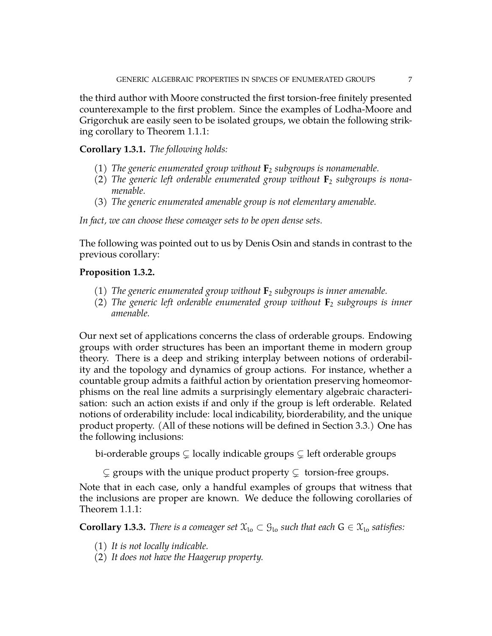the third author with Moore constructed the first torsion-free finitely presented counterexample to the first problem. Since the examples of Lodha-Moore and Grigorchuk are easily seen to be isolated groups, we obtain the following striking corollary to Theorem [1.1.1:](#page-3-2)

<span id="page-6-1"></span>**Corollary 1.3.1.** *The following holds:*

- (1) *The generic enumerated group without* **F**<sup>2</sup> *subgroups is nonamenable.*
- (2) *The generic left orderable enumerated group without* **F**<sup>2</sup> *subgroups is nonamenable.*
- (3) *The generic enumerated amenable group is not elementary amenable.*

*In fact, we can choose these comeager sets to be open dense sets.*

The following was pointed out to us by Denis Osin and stands in contrast to the previous corollary:

## <span id="page-6-2"></span>**Proposition 1.3.2.**

- (1) *The generic enumerated group without* **F**<sup>2</sup> *subgroups is inner amenable.*
- (2) *The generic left orderable enumerated group without* **F**<sup>2</sup> *subgroups is inner amenable.*

Our next set of applications concerns the class of orderable groups. Endowing groups with order structures has been an important theme in modern group theory. There is a deep and striking interplay between notions of orderability and the topology and dynamics of group actions. For instance, whether a countable group admits a faithful action by orientation preserving homeomorphisms on the real line admits a surprisingly elementary algebraic characterisation: such an action exists if and only if the group is left orderable. Related notions of orderability include: local indicability, biorderability, and the unique product property. (All of these notions will be defined in Section [3.3.](#page-16-0)) One has the following inclusions:

bi-orderable groups  $\subsetneq$  locally indicable groups  $\subsetneq$  left orderable groups

 $\subsetneq$  groups with the unique product property  $\subsetneq$  torsion-free groups.

Note that in each case, only a handful examples of groups that witness that the inclusions are proper are known. We deduce the following corollaries of Theorem [1.1.1:](#page-3-2)

<span id="page-6-0"></span>**Corollary 1.3.3.** *There is a comeager set*  $\mathfrak{X}_{\text{lo}} \subset \mathfrak{G}_{\text{lo}}$  *such that each*  $G \in \mathfrak{X}_{\text{lo}}$  *satisfies:* 

- (1) *It is not locally indicable.*
- (2) *It does not have the Haagerup property.*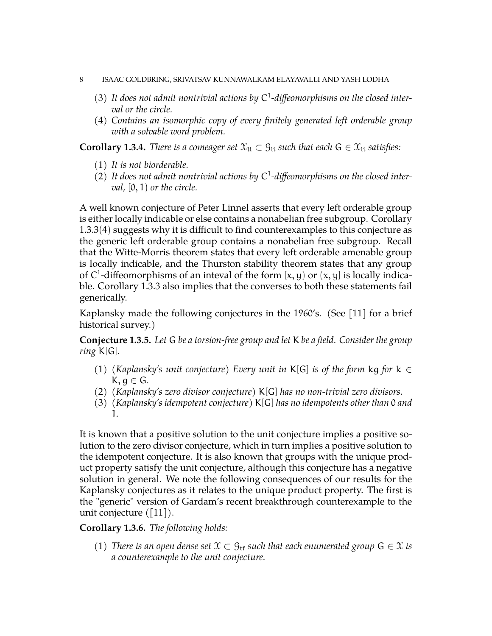### 8 ISAAC GOLDBRING, SRIVATSAV KUNNAWALKAM ELAYAVALLI AND YASH LODHA

- (3) *It does not admit nontrivial actions by* C 1 *-diffeomorphisms on the closed interval or the circle.*
- (4) *Contains an isomorphic copy of every finitely generated left orderable group with a solvable word problem.*

<span id="page-7-0"></span>**Corollary 1.3.4.** *There is a comeager set*  $\mathcal{X}_{li} \subset \mathcal{G}_{li}$  *such that each*  $G \in \mathcal{X}_{li}$  *satisfies:* 

- (1) *It is not biorderable.*
- (2) *It does not admit nontrivial actions by* C 1 *-diffeomorphisms on the closed interval,* [0, 1) *or the circle.*

A well known conjecture of Peter Linnel asserts that every left orderable group is either locally indicable or else contains a nonabelian free subgroup. Corollary [1.3.3](#page-6-0)(4) suggests why it is difficult to find counterexamples to this conjecture as the generic left orderable group contains a nonabelian free subgroup. Recall that the Witte-Morris theorem states that every left orderable amenable group is locally indicable, and the Thurston stability theorem states that any group of C<sup>1</sup>-diffeomorphisms of an inteval of the form [x, y] or  $(x, y]$  is locally indicable. Corollary [1.3.3](#page-6-0) also implies that the converses to both these statements fail generically.

Kaplansky made the following conjectures in the 1960's. (See [\[11\]](#page-43-2) for a brief historical survey.)

**Conjecture 1.3.5.** *Let* G *be a torsion-free group and let* K *be a field. Consider the group ring* K[G]*.*

- (1) *(Kaplansky's unit conjecture) Every unit in* K[G] *is of the form* kg *for* k ∈ K, g ∈ G*.*
- (2) *(Kaplansky's zero divisor conjecture)* K[G] *has no non-trivial zero divisors.*
- (3) *(Kaplansky's idempotent conjecture)* K[G] *has no idempotents other than* 0 *and* 1*.*

It is known that a positive solution to the unit conjecture implies a positive solution to the zero divisor conjecture, which in turn implies a positive solution to the idempotent conjecture. It is also known that groups with the unique product property satisfy the unit conjecture, although this conjecture has a negative solution in general. We note the following consequences of our results for the Kaplansky conjectures as it relates to the unique product property. The first is the "generic" version of Gardam's recent breakthrough counterexample to the unit conjecture ([\[11\]](#page-43-2)).

# <span id="page-7-1"></span>**Corollary 1.3.6.** *The following holds:*

(1) *There is an open dense set*  $\mathfrak{X} \subset \mathfrak{G}_{\mathrm{tf}}$  *such that each enumerated group*  $\mathsf{G} \in \mathfrak{X}$  *is a counterexample to the unit conjecture.*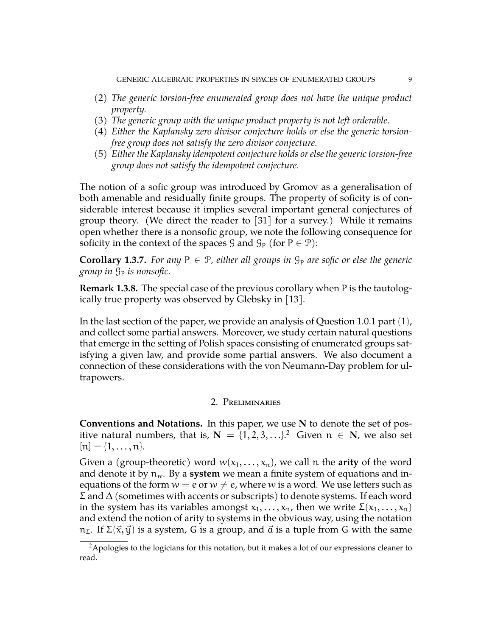- (2) *The generic torsion-free enumerated group does not have the unique product property.*
- (3) *The generic group with the unique product property is not left orderable.*
- (4) *Either the Kaplansky zero divisor conjecture holds or else the generic torsionfree group does not satisfy the zero divisor conjecture.*
- (5) *Either the Kaplansky idempotent conjecture holds or else the generic torsion-free group does not satisfy the idempotent conjecture.*

The notion of a sofic group was introduced by Gromov as a generalisation of both amenable and residually finite groups. The property of soficity is of considerable interest because it implies several important general conjectures of group theory. (We direct the reader to [\[31\]](#page-44-6) for a survey.) While it remains open whether there is a nonsofic group, we note the following consequence for soficity in the context of the spaces  $\mathcal G$  and  $\mathcal G_P$  (for  $P \in \mathcal P$ ):

<span id="page-8-1"></span>**Corollary 1.3.7.** For any  $P \in \mathcal{P}$ , either all groups in  $\mathcal{G}_P$  are sofic or else the generic *group in*  $\mathcal{G}_P$  *is nonsofic.* 

**Remark 1.3.8.** The special case of the previous corollary when P is the tautologically true property was observed by Glebsky in [\[13\]](#page-44-7).

In the last section of the paper, we provide an analysis of Question [1.0.1](#page-1-1) part (1), and collect some partial answers. Moreover, we study certain natural questions that emerge in the setting of Polish spaces consisting of enumerated groups satisfying a given law, and provide some partial answers. We also document a connection of these considerations with the von Neumann-Day problem for ultrapowers.

### 2. Preliminaries

**Conventions and Notations.** In this paper, we use **N** to denote the set of positive natural numbers, that is,  $\mathbf{N} = \{1, 2, 3, \ldots\}^2$  $\mathbf{N} = \{1, 2, 3, \ldots\}^2$  $\mathbf{N} = \{1, 2, 3, \ldots\}^2$  Given  $\mathfrak{n} \in \mathbf{N}$ , we also set  $[n] = \{1, \ldots, n\}.$ 

Given a (group-theoretic) word  $w(x_1, \ldots, x_n)$ , we call n the **arity** of the word and denote it by  $n_w$ . By a **system** we mean a finite system of equations and inequations of the form  $w = e$  or  $w \neq e$ , where w is a word. We use letters such as Σ and ∆ (sometimes with accents or subscripts) to denote systems. If each word in the system has its variables amongst  $x_1, \ldots, x_n$ , then we write  $\Sigma(x_1, \ldots, x_n)$ and extend the notion of arity to systems in the obvious way, using the notation  $n_{\Sigma}$ . If  $\Sigma(\vec{x}, \vec{y})$  is a system, G is a group, and  $\vec{a}$  is a tuple from G with the same

<span id="page-8-0"></span> ${}^{2}$ Apologies to the logicians for this notation, but it makes a lot of our expressions cleaner to read.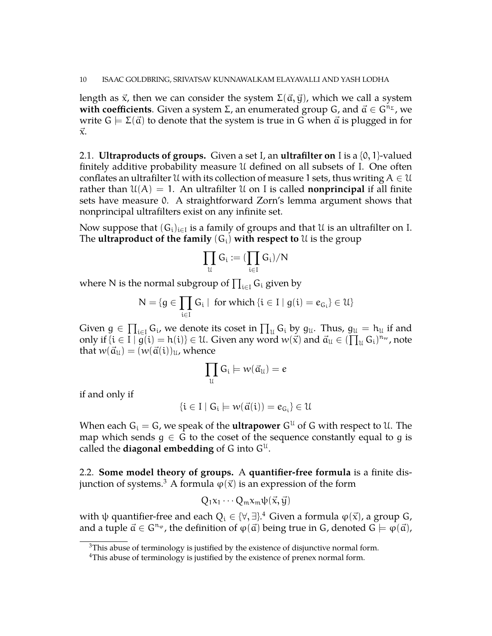length as  $\vec{x}$ , then we can consider the system  $\Sigma(\vec{a}, \vec{y})$ , which we call a system **with coefficients**. Given a system  $\Sigma$ , an enumerated group G, and  $\vec{a} \in G^{n_{\Sigma}}$ , we write  $G \models \Sigma(\vec{a})$  to denote that the system is true in G when  $\vec{a}$  is plugged in for  $\vec{x}$ .

2.1. **Ultraproducts of groups.** Given a set I, an **ultrafilter on** I is a {0, 1}-valued finitely additive probability measure U defined on all subsets of I. One often conflates an ultrafilter U with its collection of measure 1 sets, thus writing  $A \in \mathcal{U}$ rather than  $\mathfrak{U}(A) = 1$ . An ultrafilter U on I is called **nonprincipal** if all finite sets have measure 0. A straightforward Zorn's lemma argument shows that nonprincipal ultrafilters exist on any infinite set.

Now suppose that  $(G_i)_{i\in I}$  is a family of groups and that  $\mathfrak U$  is an ultrafilter on I. The **ultraproduct of the family**  $(G_i)$  **with respect to**  $\mathcal{U}$  is the group

$$
\prod_{\mathfrak{U}}G_i := (\prod_{i \in I}G_i)/N
$$

where N is the normal subgroup of  $\prod_{i\in I} \mathsf{G}_i$  given by

$$
N=\{g\in\prod_{i\in I}G_i\mid \text{ for which } \{i\in I\mid g(i)=e_{G_i}\}\in\mathcal{U}\}
$$

Given  $g \in \prod_{i \in I} G_i$ , we denote its coset in  $\prod_u G_i$  by  $g_u$ . Thus,  $g_u = h_u$  if and only if  $\{i \in \overline{I} \mid g(i) = h(i)\} \in U$ . Given any word  $w(\vec{x})$  and  $\vec{a}_u \in (\prod_u G_i)^{n_w}$ , note that  $w(\vec{a}_u) = (w(\vec{a}(i))_u)$ , whence

$$
\prod_{\mathfrak{U}}\mathsf{G_i}\models w(\vec{\mathfrak{a}}_{\mathfrak{U}})=e
$$

if and only if

$$
\{i\in I\mid G_i\models w(\vec{\alpha}(i))=e_{G_i}\}\in\mathcal{U}
$$

When each  $G_i = G$ , we speak of the **ultrapower**  $G^{\mathfrak{U}}$  of G with respect to  $\mathfrak{U}$ . The map which sends  $g \in G$  to the coset of the sequence constantly equal to g is called the **diagonal embedding** of G into  $G^{\mathfrak{U}}$ .

2.2. **Some model theory of groups.** A **quantifier-free formula** is a finite dis-junction of systems.<sup>[3](#page-9-0)</sup> A formula  $\varphi(\vec{x})$  is an expression of the form

$$
Q_1x_1\cdots Q_mx_m\psi(\vec{x},\vec{y})
$$

with  $\psi$  quantifier-free and each  $Q_i \in \{\forall, \exists\}.^4$  $Q_i \in \{\forall, \exists\}.^4$  Given a formula  $\phi(\vec{x})$ , a group G, and a tuple  $\vec{a} \in \mathbb{G}^{n_{\varphi}}$ , the definition of  $\varphi(\vec{a})$  being true in G, denoted  $\mathbb{G} \models \varphi(\vec{a})$ ,

<span id="page-9-0"></span> $3$ This abuse of terminology is justified by the existence of disjunctive normal form.

<span id="page-9-1"></span><sup>&</sup>lt;sup>4</sup>This abuse of terminology is justified by the existence of prenex normal form.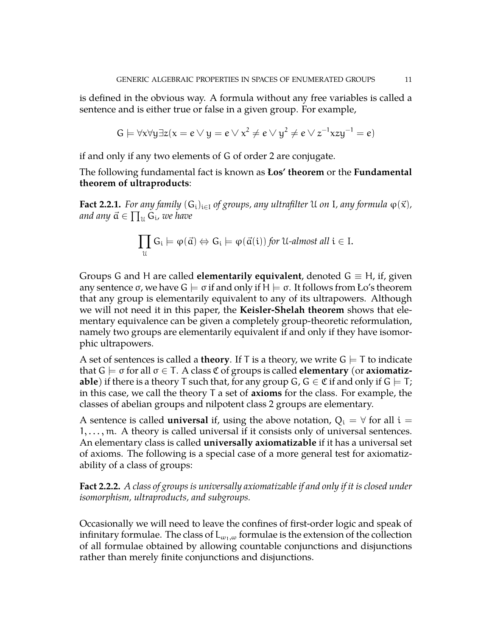is defined in the obvious way. A formula without any free variables is called a sentence and is either true or false in a given group. For example,

$$
G \models \forall x \forall y \exists z (x = e \vee y = e \vee x^2 \neq e \vee y^2 \neq e \vee z^{-1}xzy^{-1} = e)
$$

if and only if any two elements of G of order 2 are conjugate.

The following fundamental fact is known as **Łos' theorem** or the **Fundamental theorem of ultraproducts**:

**Fact 2.2.1.** *For any family*  $(G_i)_{i\in I}$  *of groups, any ultrafilter* U *on* I, *any formula*  $\varphi(\vec{x})$ *,* and any  $\vec{\mathfrak{a}}\in\prod_{\mathfrak{U}}\mathfrak{\check{G}}_{\mathfrak{i}}$ *, we have* 

$$
\prod_{\mathfrak{U}}G_{\mathfrak{i}} \models \varphi(\vec{\mathfrak{a}}) \Leftrightarrow G_{\mathfrak{i}} \models \varphi(\vec{\mathfrak{a}}(\mathfrak{i})) \text{ for } \mathfrak{U}\text{-almost all } \mathfrak{i} \in I.
$$

Groups G and H are called **elementarily equivalent**, denoted  $G \equiv H$ , if, given any sentence σ, we have  $G \models \sigma$  if and only if  $H \models \sigma$ . It follows from Ło's theorem that any group is elementarily equivalent to any of its ultrapowers. Although we will not need it in this paper, the **Keisler-Shelah theorem** shows that elementary equivalence can be given a completely group-theoretic reformulation, namely two groups are elementarily equivalent if and only if they have isomorphic ultrapowers.

A set of sentences is called a **theory**. If T is a theory, we write  $G \models T$  to indicate that  $G \models \sigma$  for all  $\sigma \in T$ . A class  $\mathfrak C$  of groups is called **elementary** (or **axiomatizable**) if there is a theory T such that, for any group G,  $G \in \mathfrak{C}$  if and only if  $G \models T$ ; in this case, we call the theory T a set of **axioms** for the class. For example, the classes of abelian groups and nilpotent class 2 groups are elementary.

A sentence is called **universal** if, using the above notation,  $Q_i = \forall$  for all  $i =$  $1, \ldots, m$ . A theory is called universal if it consists only of universal sentences. An elementary class is called **universally axiomatizable** if it has a universal set of axioms. The following is a special case of a more general test for axiomatizability of a class of groups:

**Fact 2.2.2.** *A class of groups is universally axiomatizable if and only if it is closed under isomorphism, ultraproducts, and subgroups.*

Occasionally we will need to leave the confines of first-order logic and speak of infinitary formulae. The class of  $L_{\omega_1,\omega}$  formulae is the extension of the collection of all formulae obtained by allowing countable conjunctions and disjunctions rather than merely finite conjunctions and disjunctions.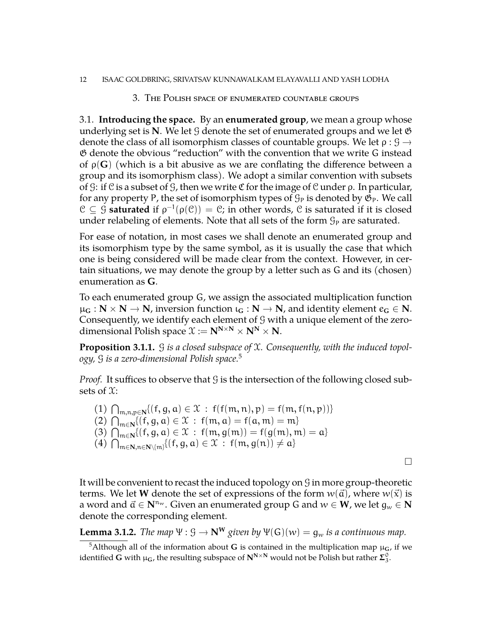#### <span id="page-11-0"></span>12 ISAAC GOLDBRING, SRIVATSAV KUNNAWALKAM ELAYAVALLI AND YASH LODHA

#### 3. The Polish space of enumerated countable groups

3.1. **Introducing the space.** By an **enumerated group**, we mean a group whose underlying set is **N**. We let  $\mathcal{G}$  denote the set of enumerated groups and we let  $\mathfrak{G}$ denote the class of all isomorphism classes of countable groups. We let  $\rho: \mathcal{G} \rightarrow$ G denote the obvious "reduction" with the convention that we write G instead of ρ(**G**) (which is a bit abusive as we are conflating the difference between a group and its isomorphism class). We adopt a similar convention with subsets of G: if C is a subset of G, then we write C for the image of C under  $\rho$ . In particular, for any property P, the set of isomorphism types of  $\mathcal{G}_P$  is denoted by  $\mathfrak{G}_P$ . We call  $\mathcal{C} \subseteq \mathcal{G}$  **saturated** if  $\rho^{-1}(\rho(\mathcal{C})) = \mathcal{C}$ ; in other words,  $\mathcal{C}$  is saturated if it is closed under relabeling of elements. Note that all sets of the form  $\mathcal{G}_P$  are saturated.

For ease of notation, in most cases we shall denote an enumerated group and its isomorphism type by the same symbol, as it is usually the case that which one is being considered will be made clear from the context. However, in certain situations, we may denote the group by a letter such as G and its (chosen) enumeration as **G**.

To each enumerated group G, we assign the associated multiplication function  $\mu_{\mathbf{G}} : \mathbf{N} \times \mathbf{N} \to \mathbf{N}$ , inversion function  $\iota_{\mathbf{G}} : \mathbf{N} \to \mathbf{N}$ , and identity element  $e_{\mathbf{G}} \in \mathbf{N}$ . Consequently, we identify each element of  $\mathcal G$  with a unique element of the zerodimensional Polish space  $\mathcal{X} := \mathbf{N}^{N \times N} \times \mathbf{N}^{N} \times \mathbf{N}$ .

**Proposition 3.1.1.** G *is a closed subspace of* X*. Consequently, with the induced topology,* G *is a zero-dimensional Polish space.*[5](#page-11-1)

*Proof.* It suffices to observe that  $\mathcal G$  is the intersection of the following closed subsets of  $\mathfrak{X}$ :

(1)  $\bigcap_{m,n,p\in\mathbb{N}}\{(f,g,a)\in\mathcal{X}: f(f(m,n),p)=f(m,f(n,p))\}$ (2)  $\bigcap_{m \in \mathbb{N}} \{ (f, g, a) \in \mathcal{X} : f(m, a) = f(a, m) = m \}$ (3)  $\bigcap_{m \in \mathbb{N}} \{ (f, g, a) \in \mathcal{X} : f(m, g(m)) = f(g(m), m) = a \}$ (4)  $\bigcap_{m \in \mathbb{N}, n \in \mathbb{N} \setminus \{m\}} \{(f, g, a) \in \mathcal{X} : f(m, g(n)) \neq a\}$ 

 $\Box$ 

It will be convenient to recast the induced topology on G in more group-theoretic terms. We let **W** denote the set of expressions of the form  $w(\vec{a})$ , where  $w(\vec{x})$  is a word and  $\vec{a} \in \mathbb{N}^{n_w}$ . Given an enumerated group G and  $w \in \mathbb{W}$ , we let  $g_w \in \mathbb{N}$ denote the corresponding element.

**Lemma 3.1.2.** *The map*  $\Psi: \mathcal{G} \to \mathbb{N}^W$  *given by*  $\Psi(\mathcal{G})(w) = g_w$  *is a continuous map.* 

<span id="page-11-1"></span><sup>5</sup>Although all of the information about **G** is contained in the multiplication map  $\mu$ **G**, if we identified  $G$  with  $\mu_G$ , the resulting subspace of  $N^{N \times N}$  would not be Polish but rather  $\Sigma^0_3$ .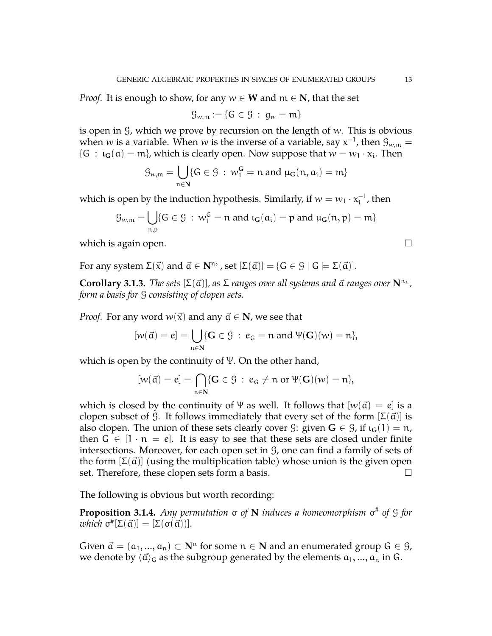*Proof.* It is enough to show, for any  $w \in W$  and  $m \in N$ , that the set

$$
\mathcal{G}_{w,m}:=\{G\in\mathcal{G} \;:\; g_w=m\}
$$

is open in  $\mathcal G$ , which we prove by recursion on the length of w. This is obvious when  $w$  is a variable. When  $w$  is the inverse of a variable, say  $\mathrm{\mathsf{x}}^{-1}$ , then  $\mathfrak{G}_{w,\mathfrak{m}}=$  ${G : \iota_G(a) = m}$ , which is clearly open. Now suppose that  $w = w_1 \cdot x_i$ . Then

$$
\mathcal{G}_{w,\mathfrak{m}}=\bigcup_{\mathfrak{n}\in \mathbf{N}}\{G\in \mathcal{G}\,:\,w_{1}^{\mathbf{G}}=\mathfrak{n}\text{ and }\mu_{\mathbf{G}}(\mathfrak{n},\mathfrak{a}_{i})=\mathfrak{m}\}
$$

which is open by the induction hypothesis. Similarly, if  $w = w_1 \cdot x_i^{-1}$  $i<sub>i</sub>$ , then

$$
\mathcal{G}_{w,\mathfrak{m}}=\bigcup_{\mathfrak{n},\mathfrak{p}}\{G\in\mathcal{G}\,:\,w_{1}^{G}=\mathfrak{n}\;\text{and}\;\iota_{G}(\mathfrak{a}_{i})=\mathfrak{p}\;\text{and}\;\mu_{G}(\mathfrak{n},\mathfrak{p})=\mathfrak{m}\}
$$

which is again open.  $\Box$ 

For any system  $\Sigma(\vec{x})$  and  $\vec{a} \in \mathbb{N}^{n_{\Sigma}}$ , set  $[\Sigma(\vec{a})] = \{G \in \mathcal{G} \mid G \models \Sigma(\vec{a})\}.$ 

<span id="page-12-0"></span>**Corollary 3.1.3.** *The sets*  $[\Sigma(\vec{\alpha})]$ *, as*  $\Sigma$  *ranges over all systems and*  $\vec{\alpha}$  *ranges over*  $\mathbf{N}^{n_{\Sigma}}$ *, form a basis for* G *consisting of clopen sets.*

*Proof.* For any word  $w(\vec{x})$  and any  $\vec{a} \in \mathbb{N}$ , we see that

$$
[w(\vec{a}) = e] = \bigcup_{n \in \mathbb{N}} \{ \mathbf{G} \in \mathcal{G} : e_G = n \text{ and } \Psi(\mathbf{G})(w) = n \},
$$

which is open by the continuity of Ψ. On the other hand,

$$
[w(\vec{\alpha})=e]=\bigcap_{n\in\mathbf{N}}\{\mathbf{G}\in\mathcal{G}\;:\;e_G\neq n\text{ or }\Psi(\mathbf{G})(w)=n\},
$$

which is closed by the continuity of  $\Psi$  as well. It follows that  $[w(\vec{a}) = e]$  is a clopen subset of G. It follows immediately that every set of the form  $[\Sigma(\vec{a})]$  is also clopen. The union of these sets clearly cover  $\mathcal{G}$ : given  $\mathbf{G} \in \mathcal{G}$ , if  $\iota_{\mathbf{G}}(1) = \mathbf{n}$ , then  $G \in [1 \cdot n = e]$ . It is easy to see that these sets are closed under finite intersections. Moreover, for each open set in  $\mathcal G$ , one can find a family of sets of the form  $[\Sigma(\vec{a})]$  (using the multiplication table) whose union is the given open set. Therefore, these clopen sets form a basis.  $\Box$ 

The following is obvious but worth recording:

**Proposition 3.1.4.** *Any permutation* σ *of* **N** *induces a homeomorphism* σ # *of* G *for*  $which \space \sigma^{\#}[\Sigma(\vec{\alpha})] = [\Sigma(\sigma(\vec{\alpha}))].$ 

Given  $\vec{a} = (a_1, ..., a_n) \subset \mathbf{N}^n$  for some  $n \in \mathbf{N}$  and an enumerated group  $G \in \mathcal{G}$ , we denote by  $\langle \vec{a} \rangle_G$  as the subgroup generated by the elements  $a_1, ..., a_n$  in G.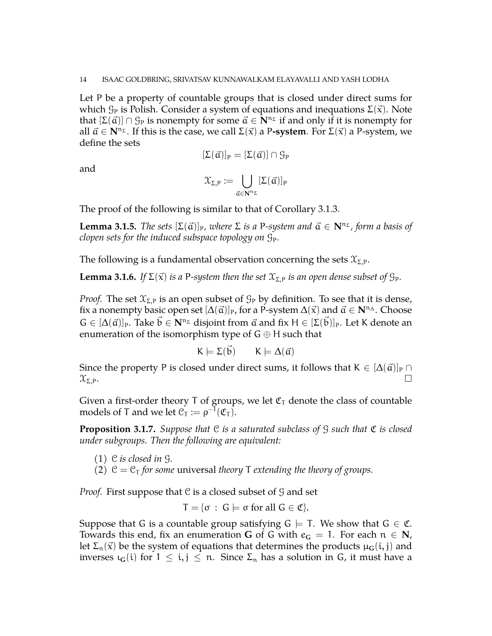Let P be a property of countable groups that is closed under direct sums for which  $\mathcal{G}_P$  is Polish. Consider a system of equations and inequations  $\Sigma(\vec{x})$ . Note that  $[\Sigma(\vec{\alpha})] \cap \mathcal{G}_P$  is nonempty for some  $\vec{\alpha} \in \mathbb{N}^{n_{\Sigma}}$  if and only if it is nonempty for all  $\vec{a} \in \mathbb{N}^{n_{\Sigma}}$ . If this is the case, we call  $\Sigma(\vec{x})$  a P**-system**. For  $\Sigma(\vec{x})$  a P-system, we define the sets

$$
[\Sigma(\vec{\alpha})]_P=[\Sigma(\vec{\alpha})]\cap \mathcal{G}_P
$$

and

$$
\mathfrak{X}_{\Sigma,P}:=\bigcup_{\vec{\alpha}\in\mathbf{N}^{n_\Sigma}}[\Sigma(\vec{\alpha})]_P
$$

The proof of the following is similar to that of Corollary [3.1.3.](#page-12-0)

**Lemma 3.1.5.** *The sets*  $[\Sigma(\vec{a})]_P$ *, where*  $\Sigma$  *is a* P-system and  $\vec{a} \in \mathbb{N}^{n_{\Sigma}}$ *, form a basis of clopen sets for the induced subspace topology on*  $\mathcal{G}_P$ *.* 

The following is a fundamental observation concerning the sets  $\mathfrak{X}_{\Sigma,P}$ .

<span id="page-13-0"></span>**Lemma 3.1.6.** *If*  $\Sigma(\vec{x})$  *is a* P-system then the set  $\mathfrak{X}_{\Sigma,P}$  *is an open dense subset of*  $\mathfrak{G}_P$ *.* 

*Proof.* The set  $\mathfrak{X}_{\Sigma,P}$  is an open subset of  $\mathfrak{G}_P$  by definition. To see that it is dense, fix a nonempty basic open set  $[\Delta(\vec{a})]_P$ , for a P-system  $\Delta(\vec{x})$  and  $\vec{a} \in \mathbb{N}^n$  . Choose  $G \in [\Delta(\vec{\alpha})]_P$ . Take  $\vec{b} \in \mathbf{N}^{n_{\Sigma}}$  disjoint from  $\vec{\alpha}$  and fix  $H \in [\Sigma(\vec{b})]_P$ . Let K denote an enumeration of the isomorphism type of  $G \oplus H$  such that

$$
K \models \Sigma(\vec{b}) \qquad K \models \Delta(\vec{\alpha})
$$

Since the property P is closed under direct sums, it follows that  $K \in [\Delta(\vec{a})]_P \cap$  $\mathfrak{X}_{\Sigma,\mathsf{P}}$ .

Given a first-order theory T of groups, we let  $\mathfrak{C}_{\mathsf{T}}$  denote the class of countable models of T and we let  $\mathcal{C}_{T} := \rho^{-1}(\mathfrak{C}_{T}).$ 

<span id="page-13-1"></span>**Proposition 3.1.7.** *Suppose that* C *is a saturated subclass of* G *such that* C *is closed under subgroups. Then the following are equivalent:*

- (1) C *is closed in* G*.*
- (2)  $C = C_T$  *for some* universal *theory* T *extending the theory of groups.*

*Proof.* First suppose that C is a closed subset of G and set

$$
T = \{ \sigma : G \models \sigma \text{ for all } G \in \mathfrak{C} \}.
$$

Suppose that G is a countable group satisfying  $G \models T$ . We show that  $G \in \mathfrak{C}$ . Towards this end, fix an enumeration **G** of G with  $e_G = 1$ . For each  $n \in N$ , let  $\Sigma_n(\vec{x})$  be the system of equations that determines the products  $\mu_G(i, j)$  and inverses  $\iota_G(i)$  for  $1 \leq i, j \leq n$ . Since  $\Sigma_n$  has a solution in G, it must have a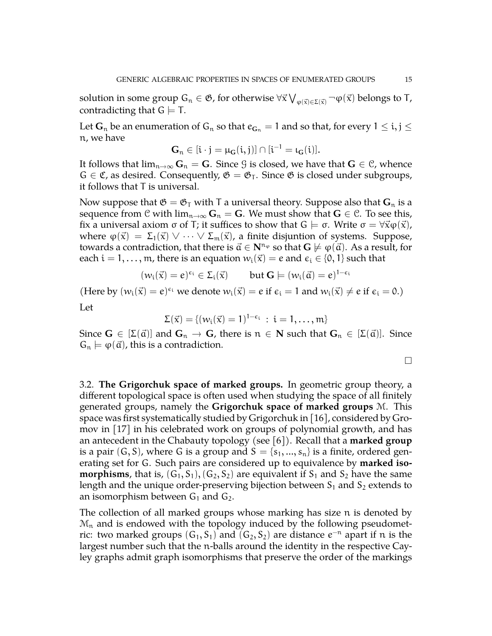solution in some group  $G_n\in\mathfrak G$ , for otherwise  $\forall\vec x\bigvee_{\phi(\vec x)\in\Sigma(\vec x)}\neg\phi(\vec x)$  belongs to T, contradicting that  $G \models T$ .

Let  $\mathbf{G}_n$  be an enumeration of  $\mathbf{G}_n$  so that  $e_{\mathbf{G}_n} = 1$  and so that, for every  $1 \leq i, j \leq n$ n, we have

$$
G_n\in[i\cdot j=\mu_G(i,j)]\cap[i^{-1}=\iota_G(i)].
$$

It follows that  $\lim_{n\to\infty} G_n = G$ . Since *G* is closed, we have that  $G \in \mathcal{C}$ , whence  $G \in \mathfrak{C}$ , as desired. Consequently,  $\mathfrak{G} = \mathfrak{G}_T$ . Since  $\mathfrak{G}$  is closed under subgroups, it follows that T is universal.

Now suppose that  $\mathfrak{G} = \mathfrak{G}_{\mathsf{T}}$  with T a universal theory. Suppose also that  $\mathbf{G}_n$  is a sequence from C with  $\lim_{n\to\infty} G_n = G$ . We must show that  $G \in \mathcal{C}$ . To see this, fix a universal axiom  $\sigma$  of T; it suffices to show that  $G \models \sigma$ . Write  $\sigma = \forall \vec{x} \varphi(\vec{x})$ , where  $\varphi(\vec{x}) = \Sigma_1(\vec{x}) \vee \cdots \vee \Sigma_m(\vec{x})$ , a finite disjuntion of systems. Suppose, towards a contradiction, that there is  $\vec{a} \in \mathbb{N}^{n_{\varphi}}$  so that  $\mathbb{G} \not\models \varphi(\vec{a})$ . As a result, for each  $i = 1, \ldots, m$ , there is an equation  $w_i(\vec{x}) = e$  and  $\epsilon_i \in \{0, 1\}$  such that

$$
(w_i(\vec{x}) = e)^{\varepsilon_i} \in \Sigma_i(\vec{x}) \qquad \text{but } G \models (w_i(\vec{a}) = e)^{1-\varepsilon_i}
$$

(Here by  $(w_i(\vec{x}) = e)^{\epsilon_i}$  we denote  $w_i(\vec{x}) = e$  if  $\epsilon_i = 1$  and  $w_i(\vec{x}) \neq e$  if  $\epsilon_i = 0$ .) Let

$$
\Sigma(\vec{x}) = \{ (w_i(\vec{x}) = 1)^{1-\varepsilon_i} \, : \, i = 1, \ldots, m \}
$$

Since  $G \in [\Sigma(\vec{\alpha})]$  and  $G_n \to G$ , there is  $n \in \mathbb{N}$  such that  $G_n \in [\Sigma(\vec{\alpha})]$ . Since  $G_n \models \varphi(\vec{a})$ , this is a contradiction.

$$
\Box
$$

<span id="page-14-0"></span>3.2. **The Grigorchuk space of marked groups.** In geometric group theory, a different topological space is often used when studying the space of all finitely generated groups, namely the **Grigorchuk space of marked groups** M. This space was first systematically studied by Grigorchuk in [\[16\]](#page-44-8), considered by Gromov in [\[17\]](#page-44-9) in his celebrated work on groups of polynomial growth, and has an antecedent in the Chabauty topology (see [\[6\]](#page-43-3)). Recall that a **marked group** is a pair  $(G, S)$ , where G is a group and  $S = \{s_1, ..., s_n\}$  is a finite, ordered generating set for G. Such pairs are considered up to equivalence by **marked isomorphisms**, that is,  $(G_1, S_1)$ ,  $(G_2, S_2)$  are equivalent if  $S_1$  and  $S_2$  have the same length and the unique order-preserving bijection between  $S_1$  and  $S_2$  extends to an isomorphism between  $G_1$  and  $G_2$ .

The collection of all marked groups whose marking has size n is denoted by  $\mathcal{M}_n$  and is endowed with the topology induced by the following pseudometric: two marked groups  $(G_1, S_1)$  and  $(G_2, S_2)$  are distance  $e^{-n}$  apart if n is the largest number such that the n-balls around the identity in the respective Cayley graphs admit graph isomorphisms that preserve the order of the markings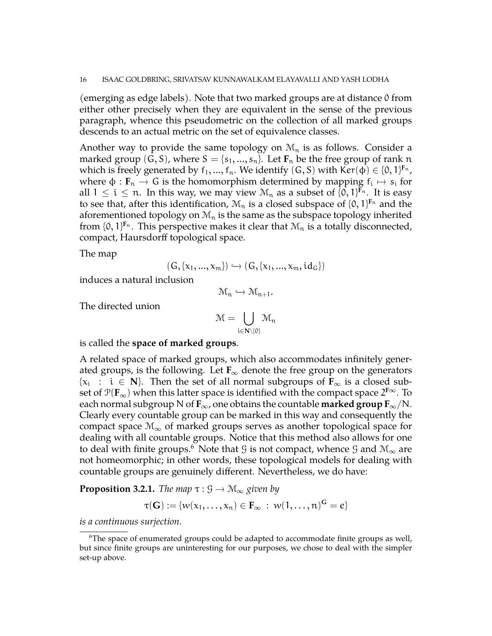(emerging as edge labels). Note that two marked groups are at distance 0 from either other precisely when they are equivalent in the sense of the previous paragraph, whence this pseudometric on the collection of all marked groups descends to an actual metric on the set of equivalence classes.

Another way to provide the same topology on  $\mathcal{M}_n$  is as follows. Consider a marked group  $(G, S)$ , where  $S = \{s_1, ..., s_n\}$ . Let  $\mathbf{F}_n$  be the free group of rank n which is freely generated by  $f_1,...,f_n.$  We identify  $(G, S)$  with Ker $(\varphi) \in \{0,1\}^{\mathrm{F}_n}$ , where  $\phi : \mathbf{F}_n \to \mathbf{G}$  is the homomorphism determined by mapping  $f_i \mapsto s_i$  for all  $1 \leq i \leq n$ . In this way, we may view  $\mathcal{M}_n$  as a subset of  $\{0,1\}^{\mathbf{F}_n}$ . It is easy to see that, after this identification,  $\mathcal{M}_n$  is a closed subspace of  $\{0,1\}^{\mathbf{F}_n}$  and the aforementioned topology on  $\mathcal{M}_n$  is the same as the subspace topology inherited from  $\{0,1\}^{\mathrm{F}_n}$ . This perspective makes it clear that  $\mathcal{M}_n$  is a totally disconnected, compact, Haursdorff topological space.

The map

$$
(G, \{x_1, ..., x_m\}) \hookrightarrow (G, \{x_1, ..., x_m, id_G\})
$$

induces a natural inclusion

$$
\mathcal{M}_n \hookrightarrow \mathcal{M}_{n+1}.
$$

The directed union

$$
\mathcal{M}=\bigcup_{i\in\mathbf{N}\setminus\{0\}}\mathcal{M}_n
$$

is called the **space of marked groups**.

A related space of marked groups, which also accommodates infinitely generated groups, is the following. Let  $\mathbf{F}_{\infty}$  denote the free group on the generators  ${x_i : i \in \mathbb{N}}$ . Then the set of all normal subgroups of  $\mathbf{F}_\infty$  is a closed subset of  $\mathcal{P}(\mathbf{F}_{\infty})$  when this latter space is identified with the compact space  $2^{\mathbf{F}\infty}$ . To each normal subgroup N of  $\mathbf{F}_{\infty}$ , one obtains the countable **marked group**  $\mathbf{F}_{\infty}$ /N. Clearly every countable group can be marked in this way and consequently the compact space  $\mathcal{M}_{\infty}$  of marked groups serves as another topological space for dealing with all countable groups. Notice that this method also allows for one to deal with finite groups.<sup>[6](#page-15-0)</sup> Note that G is not compact, whence G and  $\mathcal{M}_{\infty}$  are not homeomorphic; in other words, these topological models for dealing with countable groups are genuinely different. Nevertheless, we do have:

<span id="page-15-1"></span>**Proposition 3.2.1.** *The map*  $\tau : \mathcal{G} \to \mathcal{M}_{\infty}$  *given by* 

$$
\tau(\mathbf{G}) := \{w(x_1,\ldots,x_n) \in \mathbf{F}_{\infty} \; : \; w(1,\ldots,n)^{\mathbf{G}} = e\}
$$

*is a continuous surjection.*

<span id="page-15-0"></span> $6$ The space of enumerated groups could be adapted to accommodate finite groups as well, but since finite groups are uninteresting for our purposes, we chose to deal with the simpler set-up above.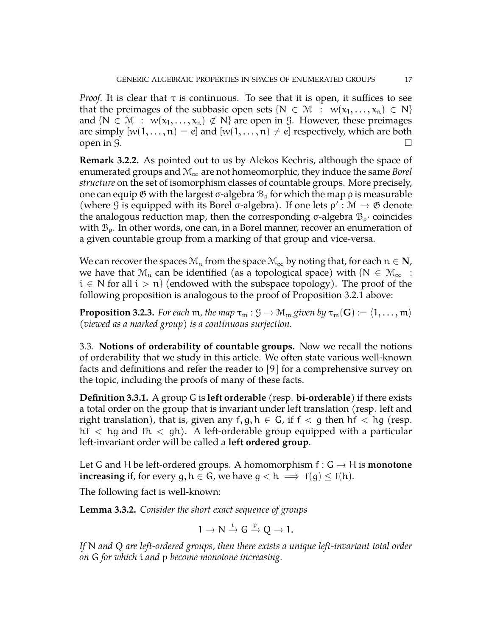*Proof.* It is clear that  $\tau$  is continuous. To see that it is open, it suffices to see that the preimages of the subbasic open sets  $\{N \in \mathcal{M} : w(x_1, ..., x_n) \in N\}$ and  $\{N \in \mathcal{M} : w(x_1,...,x_n) \notin N\}$  are open in G. However, these preimages are simply  $[w(1,\ldots,n) = e]$  and  $[w(1,\ldots,n) \neq e]$  respectively, which are both open in  $\overline{g}$ .

**Remark 3.2.2.** As pointed out to us by Alekos Kechris, although the space of enumerated groups and <sup>M</sup><sup>∞</sup> are not homeomorphic, they induce the same *Borel structure* on the set of isomorphism classes of countable groups. More precisely, one can equip  $\mathfrak G$  with the largest σ-algebra  $\mathfrak B_{\rho}$  for which the map  $\rho$  is measurable (where G is equipped with its Borel  $\sigma$ -algebra). If one lets  $\rho' : \mathcal{M} \to \mathfrak{G}$  denote the analogous reduction map, then the corresponding σ-algebra  $\mathcal{B}_{\rho'}$  coincides with  $B_{\rho}$ . In other words, one can, in a Borel manner, recover an enumeration of a given countable group from a marking of that group and vice-versa.

We can recover the spaces  $\mathcal{M}_n$  from the space  $\mathcal{M}_\infty$  by noting that, for each  $n \in \mathbb{N}$ , we have that  $\mathcal{M}_n$  can be identified (as a topological space) with  $\{N \in \mathcal{M}_\infty :$  $i \in N$  for all  $i > n$  (endowed with the subspace topology). The proof of the following proposition is analogous to the proof of Proposition [3.2.1](#page-15-1) above:

**Proposition 3.2.3.** *For each* m, the map  $\tau_m : \mathcal{G} \to \mathcal{M}_m$  given by  $\tau_m(\mathbf{G}) := \langle 1, \ldots, m \rangle$ *(viewed as a marked group) is a continuous surjection.*

<span id="page-16-0"></span>3.3. **Notions of orderability of countable groups.** Now we recall the notions of orderability that we study in this article. We often state various well-known facts and definitions and refer the reader to [\[9\]](#page-43-4) for a comprehensive survey on the topic, including the proofs of many of these facts.

**Definition 3.3.1.** A group G is **left orderable** (resp. **bi-orderable**) if there exists a total order on the group that is invariant under left translation (resp. left and right translation), that is, given any  $f, g, h \in G$ , if  $f < g$  then  $hf < hg$  (resp. hf  $\langle$  hg and fh  $\langle$  gh). A left-orderable group equipped with a particular left-invariant order will be called a **left ordered group**.

Let G and H be left-ordered groups. A homomorphism  $f: G \to H$  is **monotone increasing** if, for every g,  $h \in G$ , we have  $g < h \implies f(g) \leq f(h)$ .

The following fact is well-known:

**Lemma 3.3.2.** *Consider the short exact sequence of groups*

$$
1 \to N \xrightarrow{i} G \xrightarrow{p} Q \to 1.
$$

*If* N *and* Q *are left-ordered groups, then there exists a unique left-invariant total order on* G *for which* i *and* p *become monotone increasing.*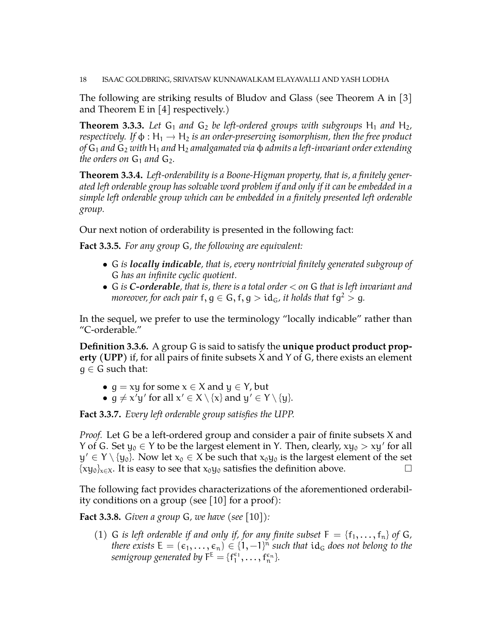18 ISAAC GOLDBRING, SRIVATSAV KUNNAWALKAM ELAYAVALLI AND YASH LODHA

The following are striking results of Bludov and Glass (see Theorem A in [\[3\]](#page-43-5) and Theorem E in  $[4]$  respectively.)

**Theorem 3.3.3.** Let  $G_1$  and  $G_2$  be left-ordered groups with subgroups  $H_1$  and  $H_2$ , *respectively.* If  $\phi : H_1 \to H_2$  *is an order-preserving isomorphism, then the free product of* G<sup>1</sup> *and* G<sup>2</sup> *with* H<sup>1</sup> *and* H<sup>2</sup> *amalgamated via* φ *admits a left-invariant order extending the orders on*  $G_1$  *and*  $G_2$ *.* 

<span id="page-17-2"></span>**Theorem 3.3.4.** *Left-orderability is a Boone-Higman property, that is, a finitely generated left orderable group has solvable word problem if and only if it can be embedded in a simple left orderable group which can be embedded in a finitely presented left orderable group.*

Our next notion of orderability is presented in the following fact:

**Fact 3.3.5.** *For any group* G*, the following are equivalent:*

- G *is locally indicable, that is, every nontrivial finitely generated subgroup of* G *has an infinite cyclic quotient.*
- G *is C-orderable, that is, there is a total order* < *on* G *that is left invariant and moreover, for each pair*  $f, g \in G, f, g > id_G$ , *it holds that*  $fq^2 > q$ .

In the sequel, we prefer to use the terminology "locally indicable" rather than "C-orderable."

<span id="page-17-1"></span>**Definition 3.3.6.** A group G is said to satisfy the **unique product product property (UPP)** if, for all pairs of finite subsets X and Y of G, there exists an element  $q \in G$  such that:

- $g = xy$  for some  $x \in X$  and  $y \in Y$ , but
- $g \neq x'y'$  for all  $x' \in X \setminus \{x\}$  and  $y' \in Y \setminus \{y\}.$

**Fact 3.3.7.** *Every left orderable group satisfies the UPP.*

*Proof.* Let G be a left-ordered group and consider a pair of finite subsets X and Y of G. Set  $y_0 \in Y$  to be the largest element in Y. Then, clearly,  $xy_0 > xy'$  for all  $y' \in Y \setminus \{y_0\}$ . Now let  $x_0 \in X$  be such that  $x_0y_0$  is the largest element of the set  $\{xy_0\}_{x\in X}$ . It is easy to see that  $x_0y_0$  satisfies the definition above.

The following fact provides characterizations of the aforementioned orderability conditions on a group (see [\[10\]](#page-43-6) for a proof):

<span id="page-17-0"></span>**Fact 3.3.8.** *Given a group* G*, we have (see* [\[10\]](#page-43-6)*):*

(1) G *is left orderable if and only if, for any finite subset*  $F = \{f_1, \ldots, f_n\}$  of G, *there exists*  $E = (\epsilon_1, \ldots, \epsilon_n) \in \{1, -1\}^n$  such that  ${\rm id}_G$  does not belong to the semigroup generated by  $F^{\text{E}} = \{f_1^{\epsilon_1}, \dots, f_n^{\epsilon_n}\}.$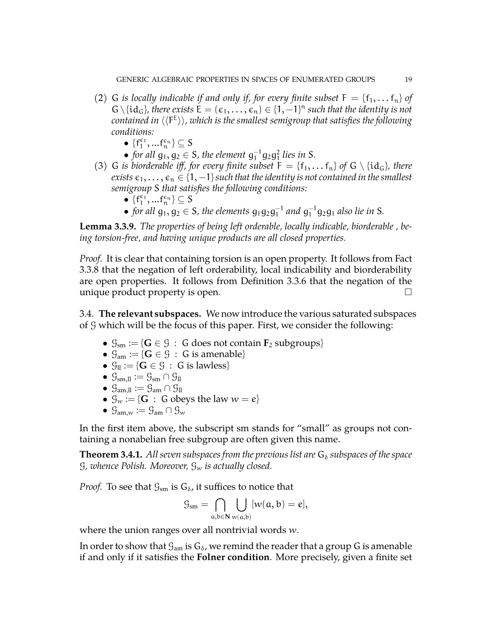- (2) G *is locally indicable if and only if, for every finite subset*  $F = \{f_1, \ldots, f_n\}$  *of*  $G \setminus \{ id_G \}$ , there exists  $E = (\epsilon_1, \ldots, \epsilon_n) \in \{1, -1\}^n$  such that the identity is not contained in  $\langle\langle \mathsf{F}^\mathsf{E} \rangle\rangle$ , which is the smallest semigroup that satisfies the following *conditions:*
	- $\bullet$  { $f_1^{\epsilon_1}, ... f_n^{\epsilon_n}$ }  $\subseteq$  S
	- *for all*  $g_1, g_2 \in S$ *, the element*  $g_1^{-1}g_2g_1^2$  *lies in* S.
- (3) G *is biorderable iff, for every finite subset*  $F = \{f_1, \ldots, f_n\}$  *of*  $G \setminus \{id_G\}$ *, there exists*  $\epsilon_1, \ldots, \epsilon_n \in \{1, -1\}$  such that the identity is not contained in the smallest *semigroup* S *that satisfies the following conditions:*
	- $\bullet$  { $f_1^{\epsilon_1}, ... f_n^{\epsilon_n}$ }  $\subseteq S$
	- for all  $g_1, g_2 \in S$ , the elements  $g_1g_2g_1^{-1}$  $_{1}^{-1}$  and  $g_{1}^{-1}g_{2}g_{1}$  also lie in S.

<span id="page-18-0"></span>**Lemma 3.3.9.** *The properties of being left orderable, locally indicable, biorderable , being torsion-free, and having unique products are all closed properties.*

*Proof.* It is clear that containing torsion is an open property. It follows from Fact [3.3.8](#page-17-0) that the negation of left orderability, local indicability and biorderability are open properties. It follows from Definition [3.3.6](#page-17-1) that the negation of the unique product property is open.

3.4. **The relevant subspaces.** We now introduce the various saturated subspaces of G which will be the focus of this paper. First, we consider the following:

- $\mathcal{G}_{\text{sm}} := \{ \mathbf{G} \in \mathcal{G} \; : \; \mathbf{G} \text{ does not contain } \mathbf{F}_2 \text{ subgroups} \}$
- $\mathcal{G}_{am} := \{ \mathbf{G} \in \mathcal{G} : \mathbf{G} \text{ is amenable} \}$
- $\mathcal{G}_{\text{ll}} := \{ \mathbf{G} \in \mathcal{G} : \mathbf{G} \text{ is lawless} \}$
- $\mathcal{G}_{sm,ll} := \mathcal{G}_{sm} \cap \mathcal{G}_{ll}$
- $\mathcal{G}_{am,ll} := \mathcal{G}_{am} \cap \mathcal{G}_{ll}$
- $\mathcal{G}_w := \{ \mathbf{G} : \mathbf{G} \text{ obeys the law } w = e \}$
- $\mathcal{G}_{am,w} := \mathcal{G}_{am} \cap \mathcal{G}_{w}$

In the first item above, the subscript sm stands for "small" as groups not containing a nonabelian free subgroup are often given this name.

**Theorem 3.4.1.** All seven subspaces from the previous list are  $G_{\delta}$  subspaces of the space G*, whence Polish. Moreover,* G<sup>w</sup> *is actually closed.*

*Proof.* To see that  $\mathcal{G}_{sm}$  is  $\mathcal{G}_{\delta}$ , it suffices to notice that

$$
\mathcal{G}_{sm} = \bigcap_{a,b \in \mathbf{N}} \bigcup_{w(a,b)} [w(a,b) = e],
$$

where the union ranges over all nontrivial words w.

In order to show that  $\mathcal{G}_{am}$  is  $\mathcal{G}_{\delta}$ , we remind the reader that a group G is amenable if and only if it satisfies the **Folner condition**. More precisely, given a finite set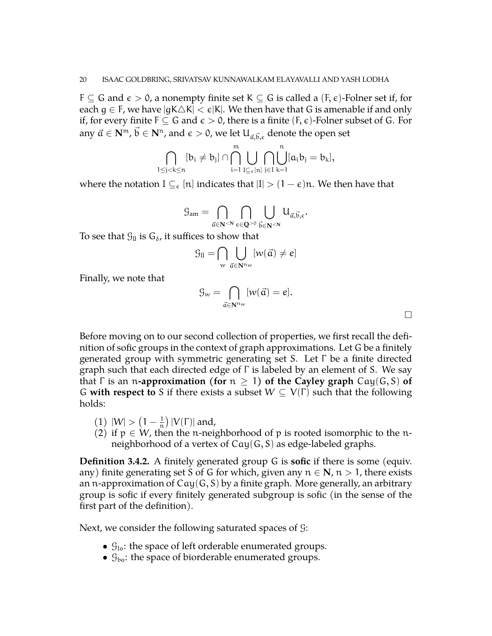$F \subseteq G$  and  $\varepsilon > 0$ , a nonempty finite set  $K \subseteq G$  is called a  $(F, \varepsilon)$ -Folner set if, for each  $g \in F$ , we have  $|gK\triangle K| < \varepsilon|K|$ . We then have that G is amenable if and only if, for every finite  $F \subseteq G$  and  $\varepsilon > 0$ , there is a finite  $(F, \varepsilon)$ -Folner subset of G. For any  $\vec{a} \in {\bf N}^{\mathfrak{m}}$ ,  $\vec{b} \in {\bf N}^{\mathfrak{n}}$ , and  $\epsilon > 0$ , we let  $\mathsf{U}_{\vec{a},\vec{b},\epsilon}$  denote the open set

$$
\bigcap_{1\leq j < k \leq n}[b_i \neq b_j] \cap \bigcap_{i=1}^m \bigcup_{I \subseteq_e [n]} \bigcap_{j \in I} \bigcup_{k=1}^n [a_i b_j = b_k],
$$

where the notation  $I \subseteq_{\epsilon} [n]$  indicates that  $|I| > (1 - \epsilon)n$ . We then have that

$$
\mathcal{G}_{am}=\bigcap_{\vec{\alpha}\in \mathbf{N}^{<\mathbf{N}}}\bigcap_{\varepsilon\in \mathbf{Q}^{>0}}\bigcup_{\vec{\mathbf{b}}\in \mathbf{N}^{<\mathbf{N}}}U_{\vec{\alpha},\vec{\mathbf{b}},\varepsilon}.
$$

To see that  $\mathcal{G}_{\parallel}$  is  $\mathcal{G}_{\delta}$ , it suffices to show that

$$
\mathcal{G}_{\text{II}} = \bigcap_{w} \bigcup_{\vec{\alpha} \in \mathbf{N}^{n_w}} [w(\vec{\alpha}) \neq e]
$$

Finally, we note that

$$
\mathcal{G}_w = \bigcap_{\vec{\mathfrak{a}} \in \mathbf{N}^{n_w}} [w(\vec{\mathfrak{a}}) = e].
$$

 $\Box$ 

Before moving on to our second collection of properties, we first recall the definition of sofic groups in the context of graph approximations. Let G be a finitely generated group with symmetric generating set S. Let Γ be a finite directed graph such that each directed edge of Γ is labeled by an element of S. We say that  $\Gamma$  is an *n*-approximation (for  $n \geq 1$ ) of the Cayley graph  $Cay(G, S)$  of G **with respect to** S if there exists a subset  $W \subseteq V(\Gamma)$  such that the following holds:

- $(1) |W| > (1 \frac{1}{n})$  $\frac{1}{n}$ ) |V(Γ)| and,
- (2) if  $p \in W$ , then the n-neighborhood of p is rooted isomorphic to the nneighborhood of a vertex of Cay(G, S) as edge-labeled graphs.

**Definition 3.4.2.** A finitely generated group G is **sofic** if there is some (equiv. any) finite generating set S of G for which, given any  $n \in \mathbb{N}$ ,  $n > 1$ , there exists an n-approximation of  $Cay(G, S)$  by a finite graph. More generally, an arbitrary group is sofic if every finitely generated subgroup is sofic (in the sense of the first part of the definition).

Next, we consider the following saturated spaces of G:

- $\mathcal{G}_{10}$ : the space of left orderable enumerated groups.
- $\mathcal{G}_{\text{bo}}$ : the space of biorderable enumerated groups.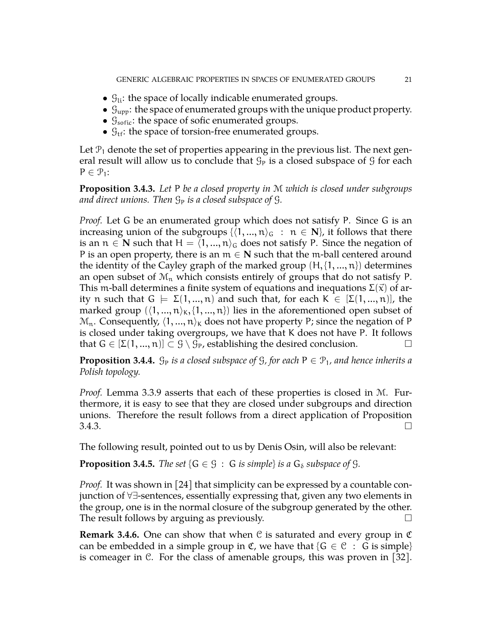- $\mathcal{G}_{\text{li}}$ : the space of locally indicable enumerated groups.
- $\mathcal{G}_{\text{upp}}$ : the space of enumerated groups with the unique product property.
- $\mathcal{G}_{\text{softc}}$ : the space of sofic enumerated groups.
- $\mathcal{G}_{\text{tf}}$ : the space of torsion-free enumerated groups.

Let  $\mathcal{P}_1$  denote the set of properties appearing in the previous list. The next general result will allow us to conclude that  $\mathcal{G}_P$  is a closed subspace of  $\mathcal G$  for each  $P \in \mathcal{P}_1$ :

<span id="page-20-0"></span>**Proposition 3.4.3.** *Let* P *be a closed property in* M *which is closed under subgroups and direct unions. Then*  $\mathcal{G}_P$  *is a closed subspace of*  $\mathcal{G}_P$ *.* 

*Proof.* Let G be an enumerated group which does not satisfy P. Since G is an increasing union of the subgroups  $\{\langle 1, ..., n\rangle_G : n \in \mathbb{N}\}\)$ , it follows that there is an  $n \in \mathbb{N}$  such that  $H = \langle 1, ..., n \rangle_G$  does not satisfy P. Since the negation of P is an open property, there is an  $m \in N$  such that the m-ball centered around the identity of the Cayley graph of the marked group  $(H, \{1, ..., n\})$  determines an open subset of  $\mathcal{M}_n$  which consists entirely of groups that do not satisfy P. This m-ball determines a finite system of equations and inequations  $\Sigma(\vec{x})$  of arity n such that  $G \models \Sigma(1, ..., n)$  and such that, for each  $K \in [\Sigma(1, ..., n)]$ , the marked group  $(\langle 1, ..., n \rangle_{\kappa}, \{1, ..., n\})$  lies in the aforementioned open subset of  $\mathcal{M}_n$ . Consequently,  $\langle 1, ..., n \rangle_K$  does not have property P; since the negation of P is closed under taking overgroups, we have that K does not have P. It follows that  $G \in [\Sigma(1, ..., n)] \subset \mathcal{G} \setminus \mathcal{G}_P$ , establishing the desired conclusion.

**Proposition 3.4.4.**  $\mathcal{G}_P$  *is a closed subspace of*  $\mathcal{G}$ *, for each*  $P \in \mathcal{P}_1$ *, and hence inherits a Polish topology.*

*Proof.* Lemma [3.3.9](#page-18-0) asserts that each of these properties is closed in M. Furthermore, it is easy to see that they are closed under subgroups and direction unions. Therefore the result follows from a direct application of Proposition  $3.4.3.$ 

The following result, pointed out to us by Denis Osin, will also be relevant:

**Proposition 3.4.5.** *The set*  $\{G \in \mathcal{G} : G \text{ is simple}\}$  *is a*  $G_{\delta}$  *subspace of*  $\mathcal{G}$ *.* 

*Proof.* It was shown in [\[24\]](#page-44-10) that simplicity can be expressed by a countable conjunction of ∀∃-sentences, essentially expressing that, given any two elements in the group, one is in the normal closure of the subgroup generated by the other. The result follows by arguing as previously.  $\Box$ 

<span id="page-20-1"></span>**Remark 3.4.6.** One can show that when C is saturated and every group in C can be embedded in a simple group in  $\mathfrak{C}$ , we have that { $\mathsf{G} \in \mathfrak{C}$  :  $\mathsf{G}$  is simple} is comeager in C. For the class of amenable groups, this was proven in [\[32\]](#page-44-11).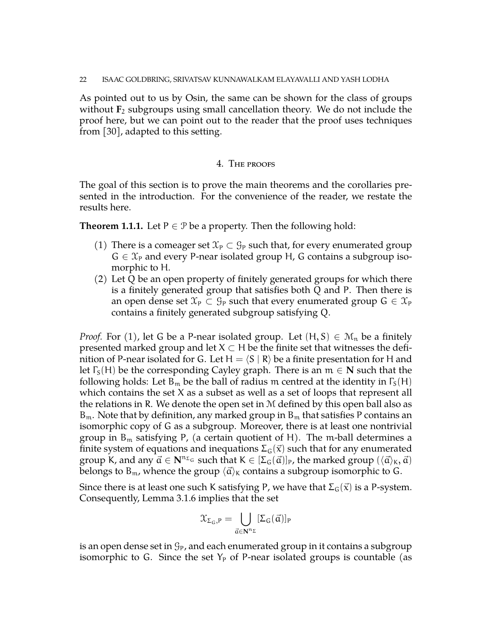As pointed out to us by Osin, the same can be shown for the class of groups without  $\mathbf{F}_2$  subgroups using small cancellation theory. We do not include the proof here, but we can point out to the reader that the proof uses techniques from [\[30\]](#page-44-12), adapted to this setting.

#### 4. The proofs

The goal of this section is to prove the main theorems and the corollaries presented in the introduction. For the convenience of the reader, we restate the results here.

**Theorem [1.1.1.](#page-3-2)** Let  $P \in \mathcal{P}$  be a property. Then the following hold:

- (1) There is a comeager set  $\mathfrak{X}_P \subset \mathfrak{G}_P$  such that, for every enumerated group  $G \in \mathcal{X}_P$  and every P-near isolated group H, G contains a subgroup isomorphic to H.
- (2) Let Q be an open property of finitely generated groups for which there is a finitely generated group that satisfies both Q and P. Then there is an open dense set  $\mathfrak{X}_P \subset \mathfrak{G}_P$  such that every enumerated group  $G \in \mathfrak{X}_P$ contains a finitely generated subgroup satisfying Q.

*Proof.* For (1), let G be a P-near isolated group. Let  $(H, S) \in \mathcal{M}_n$  be a finitely presented marked group and let  $X \subset H$  be the finite set that witnesses the definition of P-near isolated for G. Let  $H = \langle S | R \rangle$  be a finite presentation for H and let  $\Gamma_{\rm S}({\rm H})$  be the corresponding Cayley graph. There is an  $m \in \mathbb{N}$  such that the following holds: Let  $B_m$  be the ball of radius m centred at the identity in  $\Gamma_S(H)$ which contains the set X as a subset as well as a set of loops that represent all the relations in R. We denote the open set in  $M$  defined by this open ball also as  $B_m$ . Note that by definition, any marked group in  $B_m$  that satisfies P contains an isomorphic copy of G as a subgroup. Moreover, there is at least one nontrivial group in  $B_m$  satisfying P, (a certain quotient of H). The m-ball determines a finite system of equations and inequations  $\Sigma_G(\vec{x})$  such that for any enumerated group K, and any  $\vec{a} \in \mathbf{N}^{n_{\Sigma_{G}}}$  such that  $K \in [\Sigma_{G}(\vec{a})]_P$ , the marked group  $(\langle \vec{a} \rangle_{K}, \vec{a})$ belongs to B<sub>m</sub>, whence the group  $\langle \vec{a} \rangle_{\mathsf{K}}$  contains a subgroup isomorphic to G.

Since there is at least one such K satisfying P, we have that  $\Sigma_G(\vec{x})$  is a P-system. Consequently, Lemma [3.1.6](#page-13-0) implies that the set

$$
\mathfrak{X}_{\Sigma_G,P}=\bigcup_{\vec{\alpha}\in N^{n_\Sigma}}[\Sigma_G(\vec{\alpha})]_P
$$

is an open dense set in  $\mathcal{G}_P$ , and each enumerated group in it contains a subgroup isomorphic to G. Since the set  $Y_P$  of P-near isolated groups is countable (as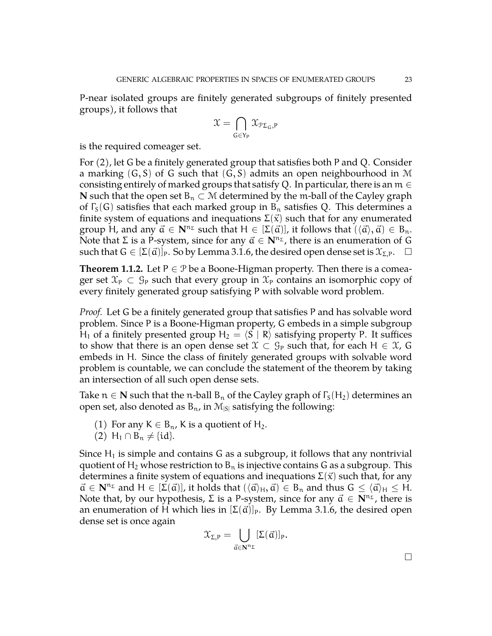P-near isolated groups are finitely generated subgroups of finitely presented groups), it follows that

$$
\mathfrak{X}=\bigcap_{\mathsf{G}\in\mathsf{Y}_\mathsf{P}}\mathfrak{X}_{\mathfrak{P}\Sigma_\mathsf{G},\mathsf{P}}
$$

is the required comeager set.

For (2), let G be a finitely generated group that satisfies both P and Q. Consider a marking  $(G, S)$  of G such that  $(G, S)$  admits an open neighbourhood in M consisting entirely of marked groups that satisfy Q. In particular, there is an  $m \in$ **N** such that the open set  $B_n$  ⊂ M determined by the m-ball of the Cayley graph of  $\Gamma_{\rm S}(\mathsf{G})$  satisfies that each marked group in  $\mathsf{B}_n$  satisfies Q. This determines a finite system of equations and inequations  $\Sigma(\vec{x})$  such that for any enumerated group H, and any  $\vec{a} \in \mathbb{N}^{n_{\Sigma}}$  such that  $H \in [\Sigma(\vec{a})]$ , it follows that  $(\langle \vec{a} \rangle, \vec{a}) \in B_n$ . Note that Σ is a P-system, since for any  $\vec{a}$  ∈  $\mathbf{N}^{n<sub>Σ</sub>}$ , there is an enumeration of G such that  $G \in [\Sigma(\vec{a})]_P$ . So by Lemma [3.1.6,](#page-13-0) the desired open dense set is  $\mathfrak{X}_{\Sigma,P}$ .  $\Box$ 

**Theorem [1.1.2.](#page-3-0)** Let  $P \in \mathcal{P}$  be a Boone-Higman property. Then there is a comeager set  $\mathfrak{X}_P \subset \mathfrak{G}_P$  such that every group in  $\mathfrak{X}_P$  contains an isomorphic copy of every finitely generated group satisfying P with solvable word problem.

*Proof.* Let G be a finitely generated group that satisfies P and has solvable word problem. Since P is a Boone-Higman property, G embeds in a simple subgroup H<sub>1</sub> of a finitely presented group H<sub>2</sub> =  $\langle S | R \rangle$  satisfying property P. It suffices to show that there is an open dense set  $\mathfrak{X} \subset \mathcal{G}_P$  such that, for each  $H \in \mathfrak{X}$ , G embeds in H. Since the class of finitely generated groups with solvable word problem is countable, we can conclude the statement of the theorem by taking an intersection of all such open dense sets.

Take  $n \in \mathbb{N}$  such that the n-ball  $B_n$  of the Cayley graph of  $\Gamma_{\mathcal{S}}(H_2)$  determines an open set, also denoted as  $B_n$ , in  $\mathcal{M}_{|S|}$  satisfying the following:

- (1) For any  $K \in B_n$ , K is a quotient of H<sub>2</sub>.
- $(2)$  H<sub>1</sub> ∩ B<sub>n</sub>  $\neq$  {id}.

Since  $H_1$  is simple and contains G as a subgroup, it follows that any nontrivial quotient of  $H_2$  whose restriction to  $B_n$  is injective contains G as a subgroup. This determines a finite system of equations and inequations  $\Sigma(\vec{x})$  such that, for any  $\vec{a} \in \mathbb{N}^{n_{\Sigma}}$  and  $H \in [\Sigma(\vec{a})]$ , it holds that  $(\langle \vec{a} \rangle_{H}, \vec{a}) \in B_{n}$  and thus  $G \leq \langle \vec{a} \rangle_{H} \leq H$ . Note that, by our hypothesis, Σ is a P-system, since for any  $\vec{a} \in \mathbb{N}^{n_{\Sigma}}$ , there is an enumeration of H which lies in  $[\Sigma(\vec{\alpha})]_P$ . By Lemma [3.1.6,](#page-13-0) the desired open dense set is once again

$$
\mathfrak{X}_{\Sigma,P}=\bigcup_{\vec{\alpha}\in \mathbf{N}^{n_\Sigma}}[\Sigma(\vec{\alpha})]_P.
$$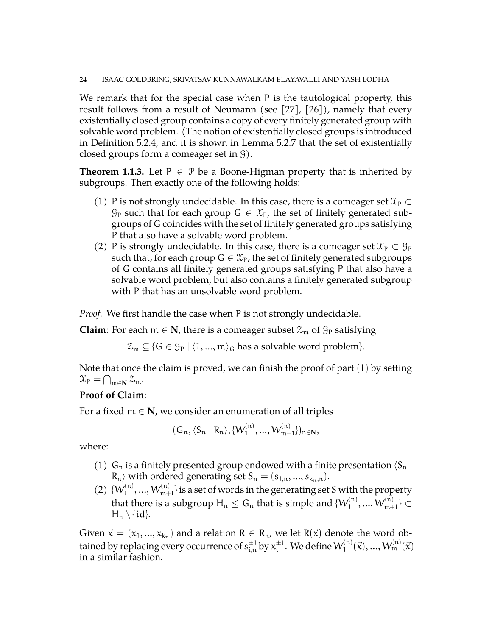We remark that for the special case when P is the tautological property, this result follows from a result of Neumann (see [\[27\]](#page-44-13), [\[26\]](#page-44-14)), namely that every existentially closed group contains a copy of every finitely generated group with solvable word problem. (The notion of existentially closed groups is introduced in Definition [5.2.4,](#page-36-0) and it is shown in Lemma [5.2.7](#page-36-1) that the set of existentially closed groups form a comeager set in G).

**Theorem [1.1.3.](#page-3-1)** Let  $P \in \mathcal{P}$  be a Boone-Higman property that is inherited by subgroups. Then exactly one of the following holds:

- (1) P is not strongly undecidable. In this case, there is a comeager set  $\mathfrak{X}_P \subset$  $\mathcal{G}_P$  such that for each group  $G \in \mathcal{X}_P$ , the set of finitely generated subgroups of G coincides with the set of finitely generated groups satisfying P that also have a solvable word problem.
- (2) P is strongly undecidable. In this case, there is a comeager set  $\mathfrak{X}_P \subset \mathcal{G}_P$ such that, for each group  $G \in \mathcal{X}_P$ , the set of finitely generated subgroups of G contains all finitely generated groups satisfying P that also have a solvable word problem, but also contains a finitely generated subgroup with P that has an unsolvable word problem.

*Proof.* We first handle the case when P is not strongly undecidable.

**Claim**: For each  $m \in \mathbb{N}$ , there is a comeager subset  $\mathcal{Z}_m$  of  $\mathcal{G}_P$  satisfying

 $\mathcal{Z}_m \subseteq \{G \in \mathcal{G}_P \mid \langle 1, ..., m \rangle_G \}$  has a solvable word problem}.

Note that once the claim is proved, we can finish the proof of part (1) by setting  $\mathfrak{X}_{\mathsf{P}} = \bigcap_{\mathfrak{m} \in \mathbf{N}} \mathfrak{X}_{\mathfrak{m}}.$ 

# **Proof of Claim**:

For a fixed  $m \in N$ , we consider an enumeration of all triples

$$
(G_n, \langle S_n | R_n \rangle, \{W_1^{(n)}, ..., W_{m+1}^{(n)}\})_{n \in \mathbb{N}},
$$

where:

- (1)  $G_n$  is a finitely presented group endowed with a finite presentation  $\langle S_n |$  $R_n$  with ordered generating set  $S_n = (s_{1,n}, ..., s_{k_n,n}).$
- $(2) \{W_1^{(n)}\}$  $\{1^{(n)},...,W_{m+1}^{(n)}\}$  is a set of words in the generating set S with the property that there is a subgroup  $\mathsf{H}_{\mathfrak{n}} \leq \mathsf{G}_{\mathfrak{n}}$  that is simple and  $\{\mathsf{W}_{\mathsf{1}}^{(\mathfrak{n})}\}$  $W_{1}^{(\rm n)},...,W_{\rm m+1}^{(\rm n)}\}\subset \mathbb{R}$  $H_n \setminus \{id\}.$

Given  $\vec{x} = (x_1, ..., x_{k_n})$  and a relation  $R \in R_n$ , we let  $R(\vec{x})$  denote the word obtained by replacing every occurrence of  $s_{i,n}^{\pm 1}$  by  $x_i^{\pm 1}$  $_{\rm i}^{\pm 1}$ . We define  $\mathsf{W}_{\rm l}^{(\rm n)}$  $W^{(\mathfrak{n})}_1(\vec{\chi}), ..., W^{(\mathfrak{n})}_\mathfrak{m}(\vec{\chi})$ in a similar fashion.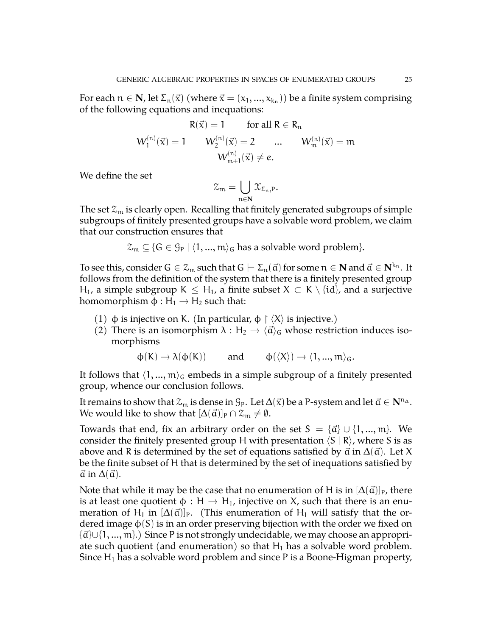For each  $n \in \mathbf{N}$ , let  $\Sigma_n(\vec{x})$  (where  $\vec{x} = (x_1, ..., x_{k_n})$ ) be a finite system comprising of the following equations and inequations:

$$
R(\vec{x}) = 1 \quad \text{for all } R \in R_n
$$
  

$$
W_1^{(n)}(\vec{x}) = 1 \quad W_2^{(n)}(\vec{x}) = 2 \quad ... \quad W_m^{(n)}(\vec{x}) = m
$$
  

$$
W_{m+1}^{(n)}(\vec{x}) \neq e.
$$

We define the set

$$
\mathcal{Z}_{\mathfrak{m}}=\bigcup_{\mathfrak{n}\in\mathbf{N}}\mathcal{X}_{\Sigma_{\mathfrak{n}},P}.
$$

The set  $\mathfrak{X}_m$  is clearly open. Recalling that finitely generated subgroups of simple subgroups of finitely presented groups have a solvable word problem, we claim that our construction ensures that

 $\mathcal{Z}_m \subseteq \{G \in \mathcal{G}_P \mid \langle 1, ..., m \rangle_G \}$  has a solvable word problem}.

To see this, consider  $G \in \mathcal{Z}_m$  such that  $G \models \Sigma_n(\vec{a})$  for some  $n \in \mathbb{N}$  and  $\vec{a} \in \mathbb{N}^{k_n}$ . It follows from the definition of the system that there is a finitely presented group H<sub>1</sub>, a simple subgroup K  $\leq$  H<sub>1</sub>, a finite subset X  $\subset$  K \ {id}, and a surjective homomorphism  $\phi : H_1 \rightarrow H_2$  such that:

- (1) φ is injective on K. (In particular,  $\phi \restriction \langle X \rangle$  is injective.)
- (2) There is an isomorphism  $\lambda : H_2 \to \langle \vec{\alpha} \rangle_G$  whose restriction induces isomorphisms

$$
\varphi(K) \to \lambda(\varphi(K))
$$
 and  $\varphi(\langle X \rangle) \to \langle 1, ..., m \rangle_G$ .

It follows that  $\langle 1, ..., m \rangle_G$  embeds in a simple subgroup of a finitely presented group, whence our conclusion follows.

It remains to show that  $\mathcal{Z}_m$  is dense in  $\mathcal{G}_P$ . Let  $\Delta(\vec{x})$  be a P-system and let  $\vec{a} \in \mathbb{N}^{n_{\Delta}}$ . We would like to show that  $[\Delta(\vec{\alpha})]_P \cap \mathcal{Z}_m \neq \emptyset$ .

Towards that end, fix an arbitrary order on the set  $S = {\vec{a}} \cup \{1, ..., m\}$ . We consider the finitely presented group H with presentation  $\langle S | R \rangle$ , where S is as above and R is determined by the set of equations satisfied by  $\vec{a}$  in  $\Delta(\vec{a})$ . Let X be the finite subset of H that is determined by the set of inequations satisfied by  $\vec{a}$  in  $\Delta(\vec{a})$ .

Note that while it may be the case that no enumeration of H is in  $[\Delta(\vec{a})]_P$ , there is at least one quotient  $\phi : H \to H_1$ , injective on X, such that there is an enumeration of H<sub>1</sub> in  $[\Delta(\vec{\alpha})]_p$ . (This enumeration of H<sub>1</sub> will satisfy that the ordered image  $\varphi(S)$  is in an order preserving bijection with the order we fixed on  $\{\vec{a}\}\cup\{1,...,m\}$ .) Since P is not strongly undecidable, we may choose an appropriate such quotient (and enumeration) so that  $H_1$  has a solvable word problem. Since  $H_1$  has a solvable word problem and since P is a Boone-Higman property,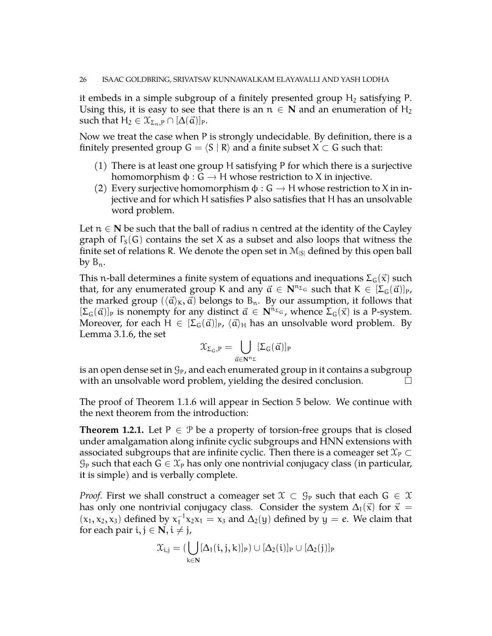it embeds in a simple subgroup of a finitely presented group  $H_2$  satisfying P. Using this, it is easy to see that there is an  $n \in \mathbb{N}$  and an enumeration of  $H_2$ such that  $H_2 \in \mathfrak{X}_{\Sigma_n,P} \cap [\Delta(\vec{\alpha})]_P$ .

Now we treat the case when P is strongly undecidable. By definition, there is a finitely presented group  $G = \langle S | R \rangle$  and a finite subset  $X \subset G$  such that:

- (1) There is at least one group H satisfying P for which there is a surjective homomorphism  $\phi : G \to H$  whose restriction to X in injective.
- (2) Every surjective homomorphism  $\phi : G \to H$  whose restriction to X in injective and for which H satisfies P also satisfies that H has an unsolvable word problem.

Let  $n \in \mathbb{N}$  be such that the ball of radius n centred at the identity of the Cayley graph of  $\Gamma_{S}(G)$  contains the set X as a subset and also loops that witness the finite set of relations R. We denote the open set in  $\mathcal{M}_{|S|}$  defined by this open ball by  $B_n$ .

This n-ball determines a finite system of equations and inequations  $\Sigma_G(\vec{x})$  such that, for any enumerated group K and any  $\vec{\alpha} \in \mathbf{N}^{n_{\Sigma_{G}}}$  such that  $K \in [\Sigma_{G}(\vec{\alpha})]_{P}$ , the marked group  $(\langle \vec{a} \rangle_{\mathsf{K}}, \vec{a})$  belongs to B<sub>n</sub>. By our assumption, it follows that  $[\Sigma_{G}(\vec{\alpha})]_{P}$  is nonempty for any distinct  $\vec{\alpha} \in \mathbb{N}^{n_{\Sigma_{G}}}$ , whence  $\Sigma_{G}(\vec{x})$  is a P-system. Moreover, for each H  $\in [\Sigma_G(\vec{a})]_P$ ,  $\langle \vec{a} \rangle_H$  has an unsolvable word problem. By Lemma [3.1.6,](#page-13-0) the set

$$
\mathfrak{X}_{\Sigma_G,P}=\bigcup_{\vec{\mathfrak{a}}\in\mathbf{N}^{n_\Sigma}}[\Sigma_G(\vec{\mathfrak{a}})]_P
$$

is an open dense set in  $\mathcal{G}_P$ , and each enumerated group in it contains a subgroup with an unsolvable word problem, yielding the desired conclusion.  $\Box$ 

The proof of Theorem [1.1.6](#page-4-0) will appear in Section 5 below. We continue with the next theorem from the introduction:

**Theorem [1.2.1.](#page-5-0)** Let  $P \in \mathcal{P}$  be a property of torsion-free groups that is closed under amalgamation along infinite cyclic subgroups and HNN extensions with associated subgroups that are infinite cyclic. Then there is a comeager set  $\mathfrak{X}_P \subset$  $\mathcal{G}_P$  such that each  $G \in \mathcal{X}_P$  has only one nontrivial conjugacy class (in particular, it is simple) and is verbally complete.

*Proof.* First we shall construct a comeager set  $\mathcal{X} \subset \mathcal{G}_P$  such that each  $G \in \mathcal{X}$ has only one nontrivial conjugacy class. Consider the system  $\Delta_1(\vec{x})$  for  $\vec{x} =$  $(x_1, x_2, x_3)$  defined by  $x_1^{-1}$  $1^{-1}x_2x_1 = x_3$  and  $\Delta_2(y)$  defined by  $y = e$ . We claim that for each pair  $i, j \in \mathbb{N}, i \neq j$ ,

$$
\mathfrak{X}_{i,j}=(\bigcup_{k\in \mathbf{N}}[\Delta_1(i,j,k)]_P)\cup [\Delta_2(i)]_P\cup [\Delta_2(j)]_P
$$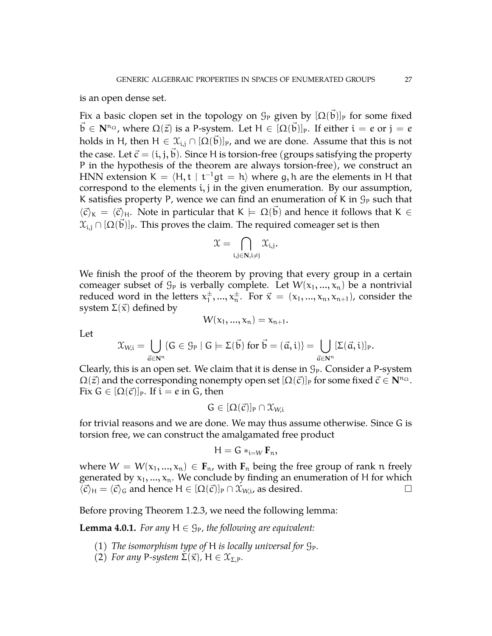is an open dense set.

Fix a basic clopen set in the topology on  $\mathcal{G}_\texttt{P}$  given by  $[\Omega(\vec{\mathfrak{b}})]_\texttt{P}$  for some fixed  $\vec{b} \in \mathbf{N}^{n_{\Omega}}$ , where  $\Omega(\vec{z})$  is a P-system. Let  $H \in [\Omega(\vec{b})]_P$ . If either  $\mathfrak{i} = e$  or  $\mathfrak{j} = e$ holds in H, then  $\rm H \in \mathfrak{X}_{i,j} \cap [\Omega(\vec{b})]_P$ , and we are done. Assume that this is not the case. Let  $\vec{c} = (i, j, b)$ . Since H is torsion-free (groups satisfying the property P in the hypothesis of the theorem are always torsion-free), we construct an HNN extension K =  $\langle$ H, t | t<sup>-1</sup>gt = h $\rangle$  where g, h are the elements in H that correspond to the elements i, j in the given enumeration. By our assumption, K satisfies property P, wence we can find an enumeration of K in  $\mathcal{G}_P$  such that  $\langle \vec{c} \rangle_K = \langle \vec{c} \rangle_H$ . Note in particular that  $K \models \Omega(\vec{b})$  and hence it follows that  $K \in$  $\mathfrak{X}_{\mathfrak{i},\mathfrak{j}}\cap [\Omega(\vec{\mathfrak{b}})]$ p. This proves the claim. The required comeager set is then

$$
\mathfrak{X}=\bigcap_{i,j\in\mathbf{N},i\neq j}\mathfrak{X}_{i,j}.
$$

We finish the proof of the theorem by proving that every group in a certain comeager subset of  $\mathcal{G}_P$  is verbally complete. Let  $W(x_1, ..., x_n)$  be a nontrivial reduced word in the letters  $x_1^{\pm}$  $x_1^{\pm},...,x_n^{\pm}$ . For  $\vec{x} = (x_1,...,x_n,x_{n+1})$ , consider the system  $\Sigma(\vec{x})$  defined by

Let

$$
\mathfrak{X}_{W,i} = \bigcup_{\vec{a} \in \mathbf{N}^n} \{G \in \mathcal{G}_P \mid G \models \Sigma(\vec{b}) \text{ for } \vec{b} = (\vec{a},i)\} = \bigcup_{\vec{a} \in \mathbf{N}^n} [\Sigma(\vec{a},i)]_P.
$$

 $W(x_1, ..., x_n) = x_{n+1}.$ 

Clearly, this is an open set. We claim that it is dense in  $\mathcal{G}_P$ . Consider a P-system  $\Omega(\vec{z})$  and the corresponding nonempty open set  $[\Omega(\vec{c})]_P$  for some fixed  $\vec{c} \in \mathbf{N}^{n_{\Omega}}$ . Fix  $G \in [\Omega(\vec{c})]_P$ . If  $i = e$  in G, then

$$
G\in [\Omega(\vec{c})]_P\cap \mathfrak{X}_{W,i}
$$

for trivial reasons and we are done. We may thus assume otherwise. Since G is torsion free, we can construct the amalgamated free product

$$
H=G\ast_{i=W}F_n,
$$

where  $W = W(x_1, ..., x_n) \in \mathbf{F}_n$ , with  $\mathbf{F}_n$  being the free group of rank n freely generated by  $x_1, ..., x_n$ . We conclude by finding an enumeration of H for which  $\langle \vec{c} \rangle_{\text{H}} = \langle \vec{c} \rangle_{\text{G}}$  and hence  $H \in [\Omega(\vec{c})]_P \cap \mathcal{X}_{W,\text{i}}$ , as desired.

Before proving Theorem [1.2.3,](#page-5-1) we need the following lemma:

<span id="page-26-0"></span>**Lemma 4.0.1.** *For any*  $H \in \mathcal{G}_P$ *, the following are equivalent:* 

- (1) *The isomorphism type of* H *is locally universal for*  $\mathcal{G}_P$ *.*
- (2) *For any* P-system  $\Sigma(\vec{x})$ , H  $\in \mathfrak{X}_{\Sigma,P}$ *.*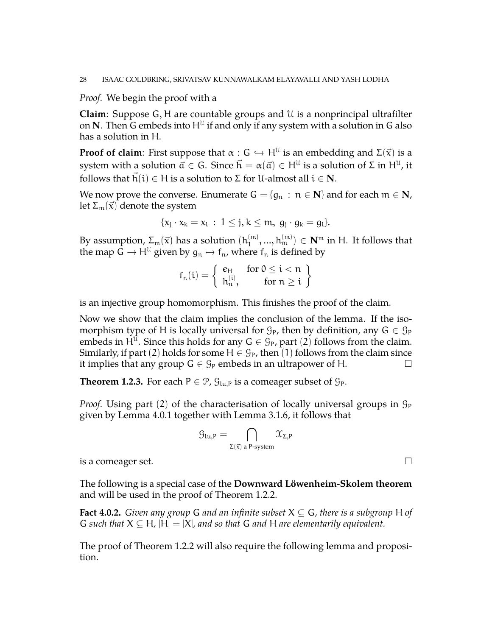# *Proof.* We begin the proof with a

**Claim**: Suppose G, H are countable groups and U is a nonprincipal ultrafilter on  $N$ . Then G embeds into  $H^{\mathfrak{U}}$  if and only if any system with a solution in G also has a solution in H.

**Proof of claim**: First suppose that  $\alpha : G \hookrightarrow H^{\mathcal{U}}$  is an embedding and  $\Sigma(\vec{x})$  is a system with a solution  $\vec a\in G.$  Since  $\vec h=\alpha(\vec a)\in {\sf H}^{\mathfrak U}$  is a solution of  $\Sigma$  in  ${\sf H}^{\mathfrak U}$ , it follows that  $h(i) \in H$  is a solution to  $\Sigma$  for U-almost all  $i \in N$ .

We now prove the converse. Enumerate  $G = \{g_n : n \in \mathbb{N}\}\$  and for each  $m \in \mathbb{N}$ , let  $\Sigma_m(\vec{x})$  denote the system

$$
\{x_j\cdot x_k=x_l\,:\,1\leq j,k\leq m,\;g_j\cdot g_k=g_l\}.
$$

By assumption,  $\Sigma_{\frak{m}}(\vec{\kappa})$  has a solution  $(\frak{h}_1^{(\frak{m})})$  $\mathcal{H}_1^{(\mathfrak{m})},...,\mathcal{h}_{\mathfrak{m}}^{(\mathfrak{m})}) \in \mathbf{N}^{\mathfrak{m}}$  in H. It follows that the map  $\mathbf{G} \to \mathsf{H}^{\mathfrak{U}}$  given by  $\mathfrak{g}_n \mapsto \mathsf{f}_n$ , where  $\mathsf{f}_n$  is defined by

$$
f_n(i) = \left\{ \begin{array}{ll} e_H & \text{for $0 \leq i < n$}\\ h_n^{(i)}, & \text{for $n \geq i$}\end{array} \right\}
$$

is an injective group homomorphism. This finishes the proof of the claim.

Now we show that the claim implies the conclusion of the lemma. If the isomorphism type of H is locally universal for  $\mathcal{G}_P$ , then by definition, any  $G \in \mathcal{G}_P$ embeds in  $H^{\mathfrak{U}}$ . Since this holds for any  $G \in \mathcal{G}_P$ , part (2) follows from the claim. Similarly, if part (2) holds for some  $H \in \mathcal{G}_P$ , then (1) follows from the claim since it implies that any group  $G \in \mathcal{G}_P$  embeds in an ultrapower of H.

**Theorem [1.2.3.](#page-5-1)** For each  $P \in \mathcal{P}$ ,  $\mathcal{G}_{\text{lu},P}$  is a comeager subset of  $\mathcal{G}_P$ .

*Proof.* Using part (2) of the characterisation of locally universal groups in  $\mathcal{G}_P$ given by Lemma [4.0.1](#page-26-0) together with Lemma [3.1.6,](#page-13-0) it follows that

$$
\mathcal{G}_{lu,P} = \bigcap_{\Sigma(\vec{x}) \text{ a }P\text{-system}} \mathcal{X}_{\Sigma,P}
$$

is a comeager set.  $\Box$ 

The following is a special case of the **Downward Löwenheim-Skolem theorem** and will be used in the proof of Theorem [1.2.2.](#page-5-2)

<span id="page-27-0"></span>**Fact 4.0.2.** *Given any group* G *and an infinite subset*  $X \subseteq G$ *, there is a subgroup* H *of* G such that  $X \subseteq H$ ,  $|H| = |X|$ , and so that G and H are elementarily equivalent.

The proof of Theorem [1.2.2](#page-5-2) will also require the following lemma and proposition.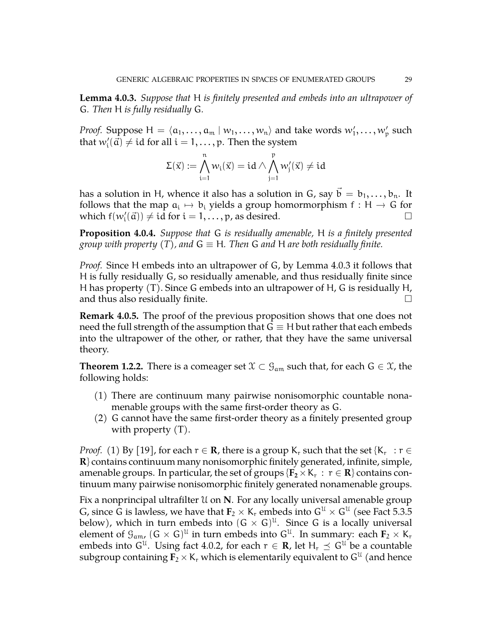<span id="page-28-0"></span>**Lemma 4.0.3.** *Suppose that* H *is finitely presented and embeds into an ultrapower of* G*. Then* H *is fully residually* G*.*

*Proof.* Suppose  $H = \langle a_1, \ldots, a_m | w_1, \ldots, w_n \rangle$  and take words  $w'_1, \ldots, w'_p$  such that  $w'_i(\vec{a}) \neq id$  for all  $i = 1, \ldots, p$ . Then the system

$$
\Sigma(\vec{x}):=\bigwedge_{i=1}^n w_i(\vec{x})=id\wedge\bigwedge_{j=1}^p w'_j(\vec{x})\neq id
$$

has a solution in H, whence it also has a solution in G, say  $\mathfrak{b} = \mathfrak{b}_1, \ldots, \mathfrak{b}_n$ . It follows that the map  $a_i \mapsto b_i$  yields a group homormorphism  $f : H \to G$  for the subject function of  $\Box$ which  $f(w_i'(\vec{a})) \neq id$  for  $i = 1, ..., p$ , as desired.

<span id="page-28-1"></span>**Proposition 4.0.4.** *Suppose that* G *is residually amenable,* H *is a finitely presented group with property* (T), and  $G \equiv H$ . Then G and H are both residually finite.

*Proof.* Since H embeds into an ultrapower of G, by Lemma [4.0.3](#page-28-0) it follows that H is fully residually G, so residually amenable, and thus residually finite since H has property (T). Since G embeds into an ultrapower of H, G is residually H, and thus also residually finite.  $\Box$ 

**Remark 4.0.5.** The proof of the previous proposition shows that one does not need the full strength of the assumption that  $G \equiv H$  but rather that each embeds into the ultrapower of the other, or rather, that they have the same universal theory.

**Theorem [1.2.2.](#page-5-2)** There is a comeager set  $\mathcal{X} \subset \mathcal{G}_{am}$  such that, for each  $G \in \mathcal{X}$ , the following holds:

- (1) There are continuum many pairwise nonisomorphic countable nonamenable groups with the same first-order theory as G.
- (2) G cannot have the same first-order theory as a finitely presented group with property (T).

*Proof.* (1) By [\[19\]](#page-44-15), for each  $r \in \mathbf{R}$ , there is a group K<sub>r</sub> such that the set {K<sub>r</sub> :  $r \in$ **R**} contains continuum many nonisomorphic finitely generated, infinite, simple, amenable groups. In particular, the set of groups  $\{ {\bf F_2} \times {\bf K}_r \, : \, r \in {\bf R} \}$  contains continuum many pairwise nonisomorphic finitely generated nonamenable groups.

Fix a nonprincipal ultrafilter U on **N**. For any locally universal amenable group G, since G is lawless, we have that  $\textbf{F}_2 \times \textsf{K}_r$  embeds into  $\textsf{G}^\text{U} \times \textsf{G}^\text{U}$  (see Fact [5.3.5](#page-40-0) below), which in turn embeds into  $(G \times G)^{\mathfrak{U}}$ . Since G is a locally universal element of  $\mathcal{G}_{\mathfrak{a}\mathfrak{m}}$ ,  $(\mathsf{G}\times \mathsf{G})^\mathfrak{U}$  in turn embeds into  $\mathsf{G}^\mathfrak{U}.$  In summary: each  $\mathbf{F}_2\times \mathsf{K}_\mathfrak{r}$ embeds into G<sup>u</sup>. Using fact [4.0.2,](#page-27-0) for each  $r \in \mathbf{R}$ , let  $\mathsf{H}_r \preceq \mathsf{G}^\mathfrak{U}$  be a countable subgroup containing  ${\bf F}_2 \times {\sf K}_{{\rm r}}$  which is elementarily equivalent to  ${\sf G}^{\mathfrak{U}}$  (and hence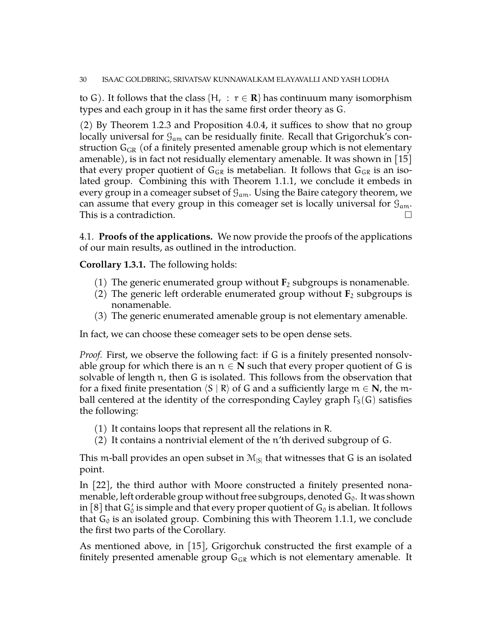to G). It follows that the class { $H_r$  :  $r \in \mathbf{R}$ } has continuum many isomorphism types and each group in it has the same first order theory as G.

(2) By Theorem [1.2.3](#page-5-1) and Proposition [4.0.4,](#page-28-1) it suffices to show that no group locally universal for  $\mathcal{G}_{am}$  can be residually finite. Recall that Grigorchuk's construction  $G_{GR}$  (of a finitely presented amenable group which is not elementary amenable), is in fact not residually elementary amenable. It was shown in  $[15]$ that every proper quotient of  $G_{GR}$  is metabelian. It follows that  $G_{GR}$  is an isolated group. Combining this with Theorem [1.1.1,](#page-3-2) we conclude it embeds in every group in a comeager subset of  $\mathcal{G}_{am}$ . Using the Baire category theorem, we can assume that every group in this comeager set is locally universal for  $\mathcal{G}_{am}$ . This is a contradiction.

4.1. **Proofs of the applications.** We now provide the proofs of the applications of our main results, as outlined in the introduction.

**Corollary [1.3.1.](#page-6-1)** The following holds:

- (1) The generic enumerated group without  $\mathbf{F}_2$  subgroups is nonamenable.
- (2) The generic left orderable enumerated group without  $\mathbf{F}_2$  subgroups is nonamenable.
- (3) The generic enumerated amenable group is not elementary amenable.

In fact, we can choose these comeager sets to be open dense sets.

*Proof.* First, we observe the following fact: if G is a finitely presented nonsolvable group for which there is an  $n \in \mathbb{N}$  such that every proper quotient of G is solvable of length n, then G is isolated. This follows from the observation that for a fixed finite presentation  $\langle S | R \rangle$  of G and a sufficiently large  $m \in \mathbb{N}$ , the mball centered at the identity of the corresponding Cayley graph  $\Gamma_{\rm S}(\mathsf{G})$  satisfies the following:

- (1) It contains loops that represent all the relations in R.
- (2) It contains a nontrivial element of the n'th derived subgroup of G.

This m-ball provides an open subset in  $M_{|S|}$  that witnesses that G is an isolated point.

In [\[22\]](#page-44-5), the third author with Moore constructed a finitely presented nonamenable, left orderable group without free subgroups, denoted  $G_0$ . It was shown in [\[8\]](#page-43-7) that  $\mathsf{G}_0'$  is simple and that every proper quotient of  $\mathsf{G}_0$  is abelian. It follows that  $G_0$  is an isolated group. Combining this with Theorem [1.1.1,](#page-3-2) we conclude the first two parts of the Corollary.

As mentioned above, in [\[15\]](#page-44-4), Grigorchuk constructed the first example of a finitely presented amenable group  $G_{GR}$  which is not elementary amenable. It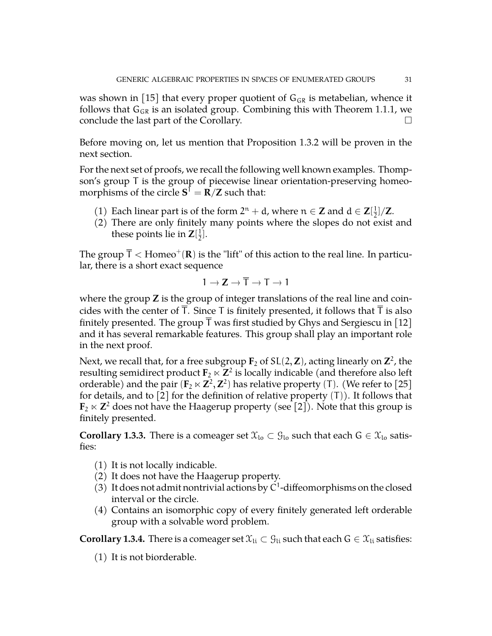was shown in [\[15\]](#page-44-4) that every proper quotient of  $G_{GR}$  is metabelian, whence it follows that  $G_{GR}$  is an isolated group. Combining this with Theorem [1.1.1,](#page-3-2) we conclude the last part of the Corollary.  $\Box$ 

Before moving on, let us mention that Proposition [1.3.2](#page-6-2) will be proven in the next section.

For the next set of proofs, we recall the following well known examples. Thompson's group T is the group of piecewise linear orientation-preserving homeomorphisms of the circle  $S^1 = R/Z$  such that:

- (1) Each linear part is of the form  $2^n + d$ , where  $n \in \mathbb{Z}$  and  $d \in \mathbb{Z}[\frac{1}{2}]$  $\frac{1}{2}$ ]/**Z**.
- (2) There are only finitely many points where the slopes do not exist and these points lie in  $\mathbf{Z}[\frac{1}{2}]$  $\frac{1}{2}$ .

The group  $\overline{\sf T} <$  Homeo $^+({\bf R})$  is the "lift" of this action to the real line. In particular, there is a short exact sequence

$$
1 \to \mathbf{Z} \to \overline{T} \to T \to 1
$$

where the group **Z** is the group of integer translations of the real line and coincides with the center of  $\overline{T}$ . Since T is finitely presented, it follows that  $\overline{T}$  is also finitely presented. The group  $\bar{T}$  was first studied by Ghys and Sergiescu in [\[12\]](#page-43-8) and it has several remarkable features. This group shall play an important role in the next proof.

Next, we recall that, for a free subgroup  $\mathbf{F}_2$  of SL(2, **Z**), acting linearly on  $\mathbf{Z}^2$ , the resulting semidirect product  $\mathbf{F}_2 \ltimes \mathbf{Z}^2$  is locally indicable (and therefore also left orderable) and the pair  $(\mathbf{F}_2 \ltimes \mathbf{Z}^2, \mathbf{Z}^2)$  has relative property (T). (We refer to [\[25\]](#page-44-16) for details, and to [\[2\]](#page-43-9) for the definition of relative property  $(T)$ ). It follows that  $\mathbf{F}_2 \ltimes \mathbf{Z}^2$  does not have the Haagerup property (see [\[2\]](#page-43-9)). Note that this group is finitely presented.

**Corollary [1.3.3.](#page-6-0)** There is a comeager set  $\mathfrak{X}_{\mathrm{lo}} \subset \mathfrak{G}_{\mathrm{lo}}$  such that each  $G \in \mathfrak{X}_{\mathrm{lo}}$  satisfies:

- (1) It is not locally indicable.
- (2) It does not have the Haagerup property.
- (3) It does not admit nontrivial actions by  $C^1$ -diffeomorphisms on the closed interval or the circle.
- (4) Contains an isomorphic copy of every finitely generated left orderable group with a solvable word problem.

**Corollary [1.3.4.](#page-7-0)** There is a comeager set  $\mathcal{X}_{li} \subset \mathcal{G}_{li}$  such that each  $G \in \mathcal{X}_{li}$  satisfies:

(1) It is not biorderable.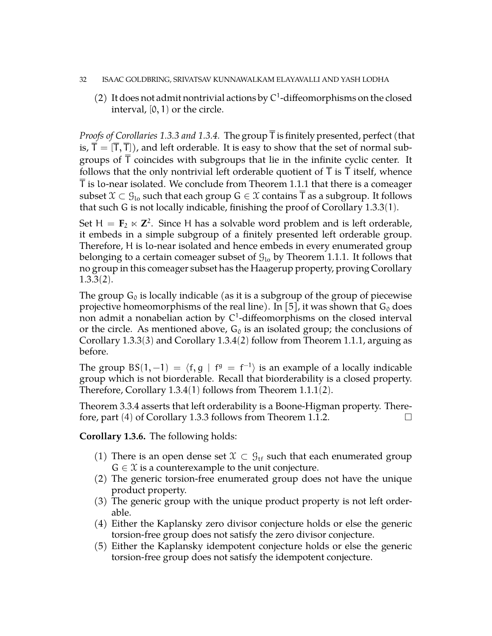#### 32 ISAAC GOLDBRING, SRIVATSAV KUNNAWALKAM ELAYAVALLI AND YASH LODHA

(2) It does not admit nontrivial actions by  $C^1$ -diffeomorphisms on the closed interval,  $[0, 1)$  or the circle.

*Proofs of Corollaries [1.3.3](#page-6-0) and [1.3.4.](#page-7-0)* The group T is finitely presented, perfect (that is,  $T = [T, T]$ , and left orderable. It is easy to show that the set of normal subgroups of T coincides with subgroups that lie in the infinite cyclic center. It follows that the only nontrivial left orderable quotient of  $T$  is  $T$  itself, whence T is lo-near isolated. We conclude from Theorem [1.1.1](#page-3-2) that there is a comeager subset  $\mathfrak{X} \subset \mathcal{G}_{\mathrm{lo}}$  such that each group  $G \in \mathfrak{X}$  contains T as a subgroup. It follows that such G is not locally indicable, finishing the proof of Corollary [1.3.3](#page-6-0)(1).

Set  $H = F_2 \ltimes Z^2$ . Since H has a solvable word problem and is left orderable, it embeds in a simple subgroup of a finitely presented left orderable group. Therefore, H is lo-near isolated and hence embeds in every enumerated group belonging to a certain comeager subset of  $\mathcal{G}_{10}$  by Theorem [1.1.1.](#page-3-2) It follows that no group in this comeager subset has the Haagerup property, proving Corollary [1.3.3](#page-6-0)(2).

The group  $G_0$  is locally indicable (as it is a subgroup of the group of piecewise projective homeomorphisms of the real line). In [\[5\]](#page-43-10), it was shown that  $G_0$  does non admit a nonabelian action by  $C^1$ -diffeomorphisms on the closed interval or the circle. As mentioned above,  $G_0$  is an isolated group; the conclusions of Corollary [1.3.3](#page-6-0)(3) and Corollary [1.3.4](#page-7-0)(2) follow from Theorem [1.1.1,](#page-3-2) arguing as before.

The group BS(1, -1) =  $\langle f, g | f^g = f^{-1} \rangle$  is an example of a locally indicable group which is not biorderable. Recall that biorderability is a closed property. Therefore, Corollary [1.3.4](#page-7-0)(1) follows from Theorem [1.1.1](#page-3-2)(2).

Theorem [3.3.4](#page-17-2) asserts that left orderability is a Boone-Higman property. There-fore, part (4) of Corollary [1.3.3](#page-6-0) follows from Theorem [1.1.2.](#page-3-0)  $\Box$ 

**Corollary [1.3.6.](#page-7-1)** The following holds:

- (1) There is an open dense set  $\mathfrak{X} \subset \mathcal{G}_{\text{tf}}$  such that each enumerated group  $G \in \mathcal{X}$  is a counterexample to the unit conjecture.
- (2) The generic torsion-free enumerated group does not have the unique product property.
- (3) The generic group with the unique product property is not left orderable.
- (4) Either the Kaplansky zero divisor conjecture holds or else the generic torsion-free group does not satisfy the zero divisor conjecture.
- (5) Either the Kaplansky idempotent conjecture holds or else the generic torsion-free group does not satisfy the idempotent conjecture.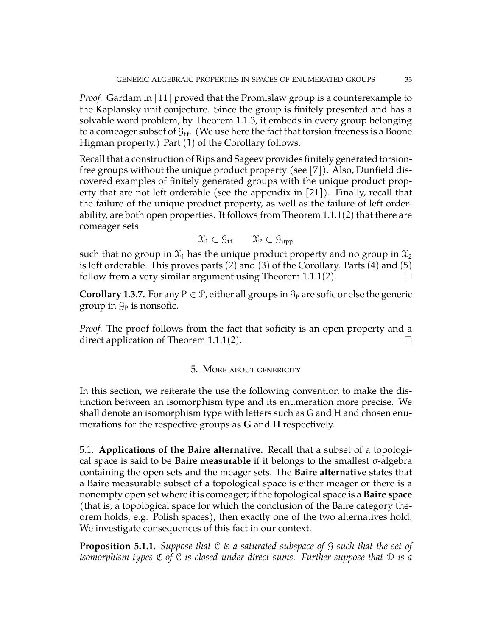*Proof.* Gardam in [\[11\]](#page-43-2) proved that the Promislaw group is a counterexample to the Kaplansky unit conjecture. Since the group is finitely presented and has a solvable word problem, by Theorem [1.1.3,](#page-3-1) it embeds in every group belonging to a comeager subset of  $\mathcal{G}_{\text{tf}}$ . (We use here the fact that torsion freeness is a Boone Higman property.) Part (1) of the Corollary follows.

Recall that a construction of Rips and Sageev provides finitely generated torsionfree groups without the unique product property (see [\[7\]](#page-43-11)). Also, Dunfield discovered examples of finitely generated groups with the unique product property that are not left orderable (see the appendix in [\[21\]](#page-44-17)). Finally, recall that the failure of the unique product property, as well as the failure of left orderability, are both open properties. It follows from Theorem [1.1.1](#page-3-2)(2) that there are comeager sets

$$
\mathfrak{X}_1 \subset \mathfrak{G}_{\mathrm{tf}} \qquad \mathfrak{X}_2 \subset \mathfrak{G}_{\mathrm{upp}}
$$

such that no group in  $\mathfrak{X}_1$  has the unique product property and no group in  $\mathfrak{X}_2$ is left orderable. This proves parts  $(2)$  and  $(3)$  of the Corollary. Parts  $(4)$  and  $(5)$ follow from a very similar argument using Theorem [1.1.1](#page-3-2)(2).  $\Box$ 

**Corollary [1.3.7.](#page-8-1)** For any P  $\in \mathcal{P}$ , either all groups in  $\mathcal{G}_P$  are sofic or else the generic group in  $\mathcal{G}_P$  is nonsofic.

*Proof.* The proof follows from the fact that soficity is an open property and a direct application of Theorem [1.1.1](#page-3-2)(2).  $\Box$ 

## 5. More about genericity

In this section, we reiterate the use the following convention to make the distinction between an isomorphism type and its enumeration more precise. We shall denote an isomorphism type with letters such as G and H and chosen enumerations for the respective groups as **G** and **H** respectively.

5.1. **Applications of the Baire alternative.** Recall that a subset of a topological space is said to be **Baire measurable** if it belongs to the smallest σ-algebra containing the open sets and the meager sets. The **Baire alternative** states that a Baire measurable subset of a topological space is either meager or there is a nonempty open set where it is comeager; if the topological space is a **Baire space** (that is, a topological space for which the conclusion of the Baire category theorem holds, e.g. Polish spaces), then exactly one of the two alternatives hold. We investigate consequences of this fact in our context.

**Proposition 5.1.1.** *Suppose that* C *is a saturated subspace of* G *such that the set of isomorphism types* C *of* C *is closed under direct sums. Further suppose that* D *is a*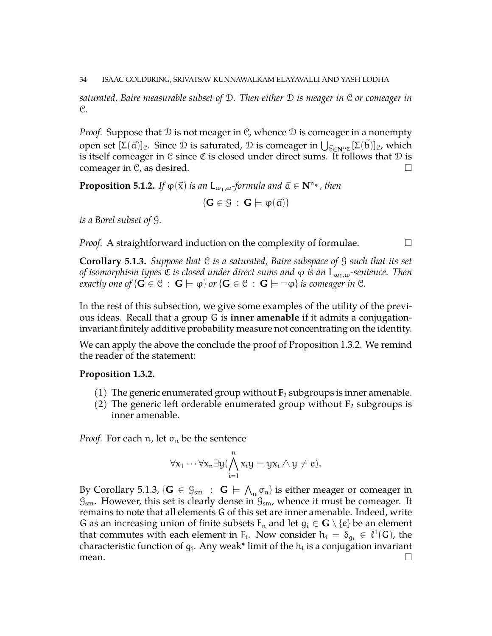*saturated, Baire measurable subset of* D*. Then either* D *is meager in* C *or comeager in* C*.*

*Proof.* Suppose that  $D$  is not meager in  $C$ , whence  $D$  is comeager in a nonempty open set  $[\Sigma(\vec{a})]_c$ . Since  $\mathcal D$  is saturated,  $\mathcal D$  is comeager in  $\bigcup_{\vec{b}\in\mathbf{N}^n\mathcal{F}}[\Sigma(\vec{b})]_c$ , which is itself comeager in  $\mathfrak C$  since  $\mathfrak C$  is closed under direct sums. It follows that  $\mathfrak D$  is comeager in C, as desired.  $\square$ 

**Proposition 5.1.2.** *If*  $\varphi(\vec{x})$  *is an*  $L_{\omega_1,\omega}$ *-formula and*  $\vec{a} \in \mathbb{N}^{n_{\varphi}}$ *, then* 

 $\{G \in \mathcal{G} : G \models \varphi(\vec{a})\}$ 

*is a Borel subset of* G*.*

*Proof.* A straightforward induction on the complexity of formulae.  $\Box$ 

<span id="page-33-0"></span>**Corollary 5.1.3.** *Suppose that* C *is a saturated, Baire subspace of* G *such that its set of isomorphism types C is closed under direct sums and*  $\varphi$  *is an* L<sub>ω<sub>1</sub>,ω-sentence. Then</sub> *exactly one of*  $\{G \in \mathcal{C} : G \models \varphi\}$  *or*  $\{G \in \mathcal{C} : G \models \neg \varphi\}$  *is comeager in*  $\mathcal{C}$ *.* 

In the rest of this subsection, we give some examples of the utility of the previous ideas. Recall that a group G is **inner amenable** if it admits a conjugationinvariant finitely additive probability measure not concentrating on the identity.

We can apply the above the conclude the proof of Proposition [1.3.2.](#page-6-2) We remind the reader of the statement:

#### **Proposition [1.3.2.](#page-6-2)**

- (1) The generic enumerated group without  $\mathbf{F}_2$  subgroups is inner amenable.
- (2) The generic left orderable enumerated group without  $\mathbf{F}_2$  subgroups is inner amenable.

*Proof.* For each  $n$ , let  $\sigma_n$  be the sentence

$$
\forall x_1\cdots\forall x_n\exists y(\bigwedge_{i=1}^n x_iy=yx_i\wedge y\neq e).
$$

By Corollary [5.1.3,](#page-33-0) { $G \in \mathcal{G}_{sm}$  :  $G \models \bigwedge_n \sigma_n$ } is either meager or comeager in  $\mathcal{G}_{sm}$ . However, this set is clearly dense in  $\mathcal{G}_{sm}$ , whence it must be comeager. It remains to note that all elements G of this set are inner amenable. Indeed, write G as an increasing union of finite subsets  $F_n$  and let  $g_i \in \mathbf{G} \setminus \{e\}$  be an element that commutes with each element in F<sub>i</sub>. Now consider  $h_i = \delta_{g_i} \in \ell^1(G)$ , the characteristic function of  $g_i$ . Any weak\* limit of the  $h_i$  is a conjugation invariant mean.  $\Box$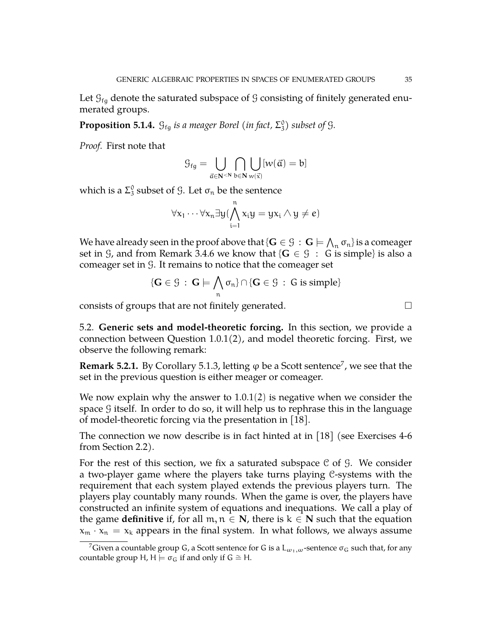Let  $\mathcal{G}_{f_{\alpha}}$  denote the saturated subspace of G consisting of finitely generated enumerated groups.

**Proposition 5.1.4.**  $G_{fg}$  *is a meager Borel (in fact,*  $\Sigma_3^0$ ) *subset of*  $G$ *.* 

*Proof.* First note that

$$
\mathfrak{G}_{fg}=\bigcup_{\vec{\mathfrak{a}}\in\mathbf{N}^{<\mathbf{N}}}\bigcap_{b\in\mathbf{N}}\bigcup_{w(\vec{x})} [w(\vec{\mathfrak{a}})=b]
$$

which is a  $\Sigma_3^0$  subset of  $\mathcal G$ . Let  $\sigma_n$  be the sentence

$$
\forall x_1 \cdots \forall x_n \exists y (\bigwedge_{i=1}^n x_i y = y x_i \wedge y \neq e)
$$

We have already seen in the proof above that  $\{ \mathbf{G} \in \mathcal{G} \, : \, \mathbf{G} \models \bigwedge_n \sigma_n \}$  is a comeager set in  $\mathcal{G}$ , and from Remark [3.4.6](#page-20-1) we know that { $\mathbf{G} \in \mathcal{G}$  : G is simple} is also a comeager set in G. It remains to notice that the comeager set

$$
\{G \in \mathcal{G} \,:\, G \models \bigwedge_n \sigma_n\} \cap \{G \in \mathcal{G} \,:\, G \text{ is simple}\}
$$

consists of groups that are not finitely generated.

5.2. **Generic sets and model-theoretic forcing.** In this section, we provide a connection between Question [1.0.1\(](#page-1-1)2), and model theoretic forcing. First, we observe the following remark:

<span id="page-34-1"></span>**Remark 5.2.1.** By Corollary [5.1.3,](#page-33-0) letting  $\varphi$  be a Scott sentence<sup>[7](#page-34-0)</sup>, we see that the set in the previous question is either meager or comeager.

We now explain why the answer to [1.0.1](#page-1-1)(2) is negative when we consider the space  $\mathcal G$  itself. In order to do so, it will help us to rephrase this in the language of model-theoretic forcing via the presentation in [\[18\]](#page-44-1).

The connection we now describe is in fact hinted at in [\[18\]](#page-44-1) (see Exercises 4-6 from Section 2.2).

For the rest of this section, we fix a saturated subspace  $C$  of  $G$ . We consider a two-player game where the players take turns playing C-systems with the requirement that each system played extends the previous players turn. The players play countably many rounds. When the game is over, the players have constructed an infinite system of equations and inequations. We call a play of the game **definitive** if, for all  $m, n \in \mathbb{N}$ , there is  $k \in \mathbb{N}$  such that the equation  $x_m \cdot x_n = x_k$  appears in the final system. In what follows, we always assume

<span id="page-34-0"></span><sup>&</sup>lt;sup>7</sup>Given a countable group G, a Scott sentence for G is a  $L_{\omega_1,\omega}$ -sentence  $\sigma_G$  such that, for any countable group H, H  $\models \sigma_G$  if and only if G  $\cong$  H.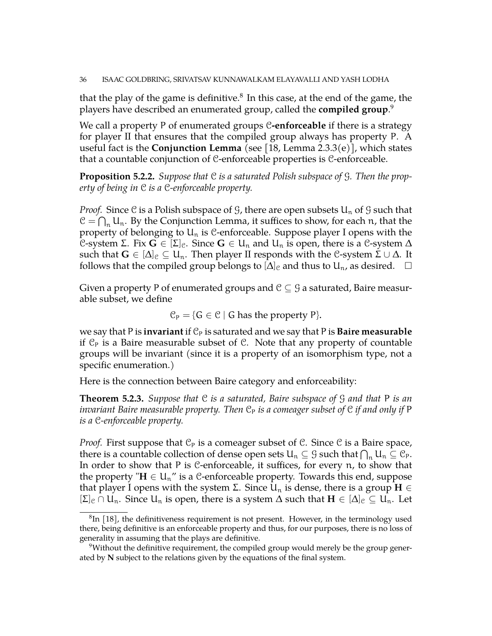that the play of the game is definitive. $^8$  $^8$  In this case, at the end of the game, the players have described an enumerated group, called the **compiled group**. [9](#page-35-1)

We call a property P of enumerated groups C**-enforceable** if there is a strategy for player II that ensures that the compiled group always has property P. A useful fact is the **Conjunction Lemma** (see [\[18,](#page-44-1) Lemma 2.3.3(e)], which states that a countable conjunction of C-enforceable properties is C-enforceable.

**Proposition 5.2.2.** *Suppose that* C *is a saturated Polish subspace of* G*. Then the property of being in* C *is a* C*-enforceable property.*

*Proof.* Since C is a Polish subspace of G, there are open subsets  $U_n$  of G such that  $C = \bigcap_n U_n$ . By the Conjunction Lemma, it suffices to show, for each n, that the property of belonging to  $U_n$  is C-enforceable. Suppose player I opens with the C-system Σ. Fix  $G \in [\Sigma]_e$ . Since  $G \in U_n$  and  $U_n$  is open, there is a C-system Δ such that  $G \in [\Delta]_c \subseteq U_n$ . Then player II responds with the C-system  $\Sigma \cup \Delta$ . It follows that the compiled group belongs to  $[\Delta]_c$  and thus to  $U_n$ , as desired.  $\Box$ 

Given a property P of enumerated groups and  $\mathcal{C} \subseteq \mathcal{G}$  a saturated, Baire measurable subset, we define

$$
\mathcal{C}_P = \{ G \in \mathcal{C} \mid G \text{ has the property } P \}.
$$

we say that P is **invariant** if  $C_P$  is saturated and we say that P is **Baire measurable** if  $\mathcal{C}_P$  is a Baire measurable subset of  $\mathcal{C}$ . Note that any property of countable groups will be invariant (since it is a property of an isomorphism type, not a specific enumeration.)

Here is the connection between Baire category and enforceability:

<span id="page-35-2"></span>**Theorem 5.2.3.** *Suppose that* C *is a saturated, Baire subspace of* G *and that* P *is an invariant Baire measurable property. Then*  $C_P$  *is a comeager subset of*  $C$  *if and only if* P *is a* C*-enforceable property.*

*Proof.* First suppose that  $\mathcal{C}_P$  is a comeager subset of C. Since C is a Baire space, there is a countable collection of dense open sets  $\mathsf{U}_n\subseteq \mathfrak{G}$  such that  $\bigcap_n\mathsf{U}_n\subseteq \mathfrak{C}_\mathsf{P}.$ In order to show that P is C-enforceable, it suffices, for every n, to show that the property " $H \in U_n$ " is a C-enforceable property. Towards this end, suppose that player I opens with the system  $\Sigma$ . Since  $U_n$  is dense, there is a group  $H \in$  $[\Sigma]_c \cap U_n$ . Since  $U_n$  is open, there is a system  $\Delta$  such that  $H \in [\Delta]_c \subseteq U_n$ . Let

<span id="page-35-0"></span> ${}^{8}$ In [\[18\]](#page-44-1), the definitiveness requirement is not present. However, in the terminology used there, being definitive is an enforceable property and thus, for our purposes, there is no loss of generality in assuming that the plays are definitive.

<span id="page-35-1"></span> $9$ Without the definitive requirement, the compiled group would merely be the group generated by **N** subject to the relations given by the equations of the final system.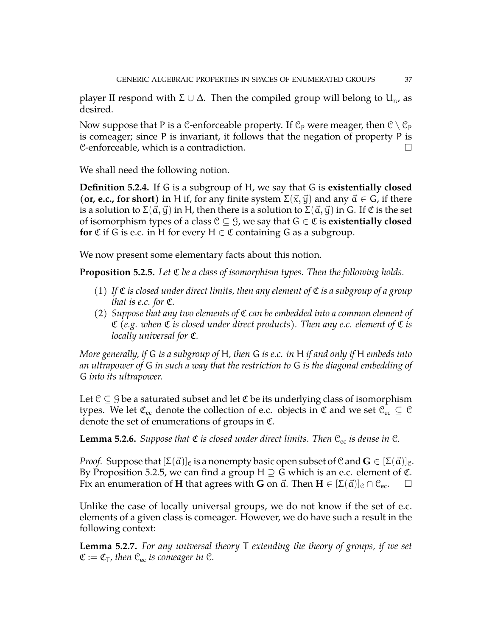player II respond with  $\Sigma \cup \Delta$ . Then the compiled group will belong to  $U_{n}$ , as desired.

Now suppose that P is a C-enforceable property. If  $\mathcal{C}_P$  were meager, then  $\mathcal{C} \setminus \mathcal{C}_P$ is comeager; since P is invariant, it follows that the negation of property P is  $C$ -enforceable, which is a contradiction.  $\Box$ 

We shall need the following notion.

<span id="page-36-0"></span>**Definition 5.2.4.** If G is a subgroup of H, we say that G is **existentially closed** (**or, e.c., for short**) in H if, for any finite system  $\Sigma(\vec{x}, \vec{y})$  and any  $\vec{a} \in G$ , if there is a solution to  $\Sigma(\vec{a}, \vec{y})$  in H, then there is a solution to  $\Sigma(\vec{a}, \vec{y})$  in G. If  $\mathfrak C$  is the set of isomorphism types of a class  $C \subset G$ , we say that  $G \in \mathfrak{C}$  is **existentially closed for**  $\mathfrak{C}$  if G is e.c. in H for every  $H \in \mathfrak{C}$  containing G as a subgroup.

We now present some elementary facts about this notion.

<span id="page-36-2"></span>**Proposition 5.2.5.** *Let* C *be a class of isomorphism types. Then the following holds.*

- (1) If  $\mathfrak C$  *is closed under direct limits, then any element of*  $\mathfrak C$  *is a subgroup of a group that is e.c. for* C*.*
- (2) *Suppose that any two elements of* C *can be embedded into a common element of* C *(e.g. when* C *is closed under direct products). Then any e.c. element of* C *is locally universal for* C*.*

*More generally, if* G *is a subgroup of* H*, then* G *is e.c. in* H *if and only if* H *embeds into an ultrapower of* G *in such a way that the restriction to* G *is the diagonal embedding of* G *into its ultrapower.*

Let  $\mathcal{C} \subseteq \mathcal{G}$  be a saturated subset and let  $\mathfrak{C}$  be its underlying class of isomorphism types. We let  $\mathfrak{C}_{ec}$  denote the collection of e.c. objects in  $\mathfrak{C}$  and we set  $\mathfrak{C}_{ec} \subseteq \mathfrak{C}$ denote the set of enumerations of groups in C.

<span id="page-36-3"></span>**Lemma 5.2.6.** *Suppose that*  $\mathfrak C$  *is closed under direct limits. Then*  $\mathfrak C_{\text{ec}}$  *is dense in*  $\mathfrak C$ *.* 

*Proof.* Suppose that  $[\Sigma(\vec{a})]_c$  is a nonempty basic open subset of C and  $\mathbf{G} \in [\Sigma(\vec{a})]_c$ . By Proposition [5.2.5,](#page-36-2) we can find a group H  $\supseteq$  G which is an e.c. element of  $\mathfrak{C}$ . Fix an enumeration of **H** that agrees with **G** on  $\vec{a}$ . Then  $\mathbf{H} \in [\Sigma(\vec{a})]_c \cap C_{ec}$ .  $\square$ 

Unlike the case of locally universal groups, we do not know if the set of e.c. elements of a given class is comeager. However, we do have such a result in the following context:

<span id="page-36-1"></span>**Lemma 5.2.7.** *For any universal theory* T *extending the theory of groups, if we set*  $\mathfrak{C} := \mathfrak{C}_{\mathsf{T}}$ *, then*  $\mathfrak{C}_{\rm ec}$  *is comeager in*  $\mathfrak{C}$ *.*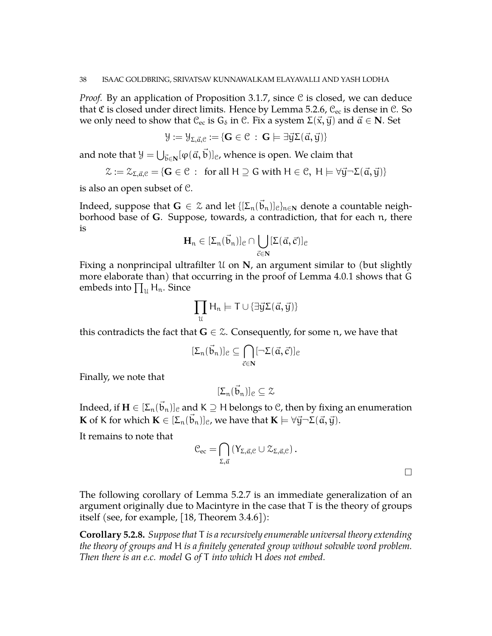*Proof.* By an application of Proposition [3.1.7,](#page-13-1) since C is closed, we can deduce that C is closed under direct limits. Hence by Lemma [5.2.6,](#page-36-3)  $\mathcal{C}_{\text{ec}}$  is dense in  $\mathcal{C}$ . So we only need to show that  $\mathcal{C}_{ec}$  is  $G_{\delta}$  in  $\mathcal{C}$ . Fix a system  $\Sigma(\vec{x}, \vec{y})$  and  $\vec{a} \in \mathbb{N}$ . Set

$$
\mathcal{Y}:=\mathcal{Y}_{\Sigma,\vec{\alpha},\mathcal{C}}:=\{\mathbf{G}\in\mathcal{C}\,:\,\mathbf{G}\models\exists\vec{y}\Sigma(\vec{\alpha},\vec{y})\}
$$

and note that  $\mathcal{Y} = \bigcup_{\vec{\mathbf{b}} \in \mathbf{N}} [\varphi(\vec{\mathbf{a}}, \vec{\mathbf{b}})]_{\mathcal{C}}$ , whence is open. We claim that

$$
\mathcal{Z} := \mathcal{Z}_{\Sigma, \vec{\alpha}, \mathcal{C}} = \{ \mathbf{G} \in \mathcal{C} \; : \; \text{ for all } H \supseteq G \text{ with } H \in \mathcal{C}, \; H \models \forall \vec{y} \neg \Sigma(\vec{\alpha}, \vec{y}) \}
$$

is also an open subset of C.

Indeed, suppose that  $\mathbf{G}\,\in\,\mathbb{Z}$  and let  $\{[\mathsf{\Sigma}_\mathfrak{n}(\vec{b}_\mathfrak{n})]_\mathfrak{C}\}_{\mathfrak{n}\in\mathbf{N}}$  denote a countable neighborhood base of **G**. Suppose, towards, a contradiction, that for each n, there is

$$
\mathbf{H}_n \in [\Sigma_n(\vec{b}_n)]_{\mathcal{C}} \cap \bigcup_{\vec{c} \in \mathbf{N}} [\Sigma(\vec{\alpha}, \vec{c})]_{\mathcal{C}}
$$

Fixing a nonprincipal ultrafilter U on **N**, an argument similar to (but slightly more elaborate than) that occurring in the proof of Lemma [4.0.1](#page-26-0) shows that G embeds into  $\prod_u \mathsf{H}_{\mathfrak{n}}$ . Since

$$
\prod_{\mathfrak{U}}H_n\models T\cup\{\exists\vec{y}\Sigma(\vec{\alpha},\vec{y})\}
$$

this contradicts the fact that  $G \in \mathcal{Z}$ . Consequently, for some n, we have that

$$
[\Sigma_n(\vec{b}_n)]_{\mathcal{C}} \subseteq \bigcap_{\vec{c} \in \mathbf{N}} [\neg \Sigma(\vec{\alpha}, \vec{c})]_{\mathcal{C}}
$$

Finally, we note that

$$
[\Sigma_n(\vec{b}_n)]_{\mathfrak{C}}\subseteq \mathfrak{Z}
$$

Indeed, if  $\mathbf{H}\in[\Sigma_\mathfrak{n}(\vec{b}_\mathfrak{n})]_\mathfrak{C}$  and K  $\supseteq$  H belongs to C, then by fixing an enumeration **K** of K for which  $\mathbf{K} \in [\Sigma_n(\vec{b}_n)]_c$ , we have that  $\mathbf{K} \models \forall \vec{y} \neg \Sigma(\vec{a}, \vec{y}).$ 

It remains to note that

$$
\mathcal{C}_{ec} = \bigcap_{\Sigma, \vec{a}} \left( Y_{\Sigma, \vec{a}, \mathcal{C}} \cup \mathcal{Z}_{\Sigma, \vec{a}, \mathcal{C}} \right).
$$

The following corollary of Lemma [5.2.7](#page-36-1) is an immediate generalization of an argument originally due to Macintyre in the case that T is the theory of groups itself (see, for example, [\[18,](#page-44-1) Theorem 3.4.6]):

<span id="page-37-0"></span>**Corollary 5.2.8.** *Suppose that* T *is a recursively enumerable universal theory extending the theory of groups and* H *is a finitely generated group without solvable word problem. Then there is an e.c. model* G *of* T *into which* H *does not embed.*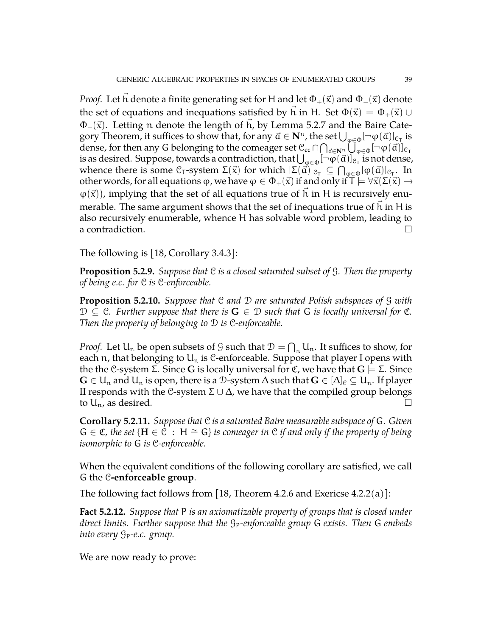*Proof.* Let h denote a finite generating set for H and let  $\Phi_+(\vec{x})$  and  $\Phi_-(\vec{x})$  denote the set of equations and inequations satisfied by h in H. Set  $\Phi(\vec{x}) = \Phi_+(\vec{x}) \cup \vec{x}$  $\Phi_-(\vec{x})$ . Letting n denote the length of h, by Lemma [5.2.7](#page-36-1) and the Baire Category Theorem, it suffices to show that, for any  $\vec{a} \in \mathbf{N}^n$ , the set  $\bigcup_{\phi \in \Phi} [\neg \phi(\vec{a})]_{\mathcal{C}_T}$  is dense, for then any G belonging to the comeager set  $\mathbb C_\mathrm{ec} \cap \bigcap_{\vec a \in \mathbf N^{\mathsf n}} \bigcup_{\phi \in \Phi} [\neg \phi(\vec a)]_{\mathbb C_\mathsf T}$ is as desired. Suppose, towards a contradiction, that  $\bigcup_{\phi\in\Phi}[\neg\phi(\vec{\alpha})]_{\mathfrak{C}_\mathsf{T}}$  is not dense, whence there is some  $\mathfrak{C}_{\mathsf{T}}$ -system  $\Sigma(\vec{\mathsf{x}})$  for which  $[\Sigma(\vec{\mathsf{a}})]_{\mathfrak{C}_{\mathsf{T}}}\subseteq \bigcap_{\phi\in\Phi}[\phi(\vec{\mathsf{a}})]_{\mathfrak{C}_{\mathsf{T}}}.$  In other words, for all equations  $\varphi$ , we have  $\varphi \in \Phi_+(\vec{x})$  if and only if  $\Gamma \models \forall \vec{x}(\Sigma(\vec{x}) \rightarrow \vec{y})$  $\varphi(\vec{x})$ ), implying that the set of all equations true of h in H is recursively enumerable. The same argument shows that the set of inequations true of  $h$  in  $H$  is also recursively enumerable, whence H has solvable word problem, leading to a contradiction.  $\Box$ 

The following is [\[18,](#page-44-1) Corollary 3.4.3]:

**Proposition 5.2.9.** *Suppose that* C *is a closed saturated subset of* G*. Then the property of being e.c. for* C *is* C*-enforceable.*

<span id="page-38-1"></span>**Proposition 5.2.10.** *Suppose that* C *and* D *are saturated Polish subspaces of* G *with*  $D \subseteq C$ *. Further suppose that there is*  $G \in D$  *such that* G *is locally universal for*  $C$ *. Then the property of belonging to* D *is* C*-enforceable.*

*Proof.* Let  $U_n$  be open subsets of  $\mathcal G$  such that  $\mathcal D = \bigcap_n U_n$ . It suffices to show, for each n, that belonging to  $U_n$  is C-enforceable. Suppose that player I opens with the the C-system Σ. Since **G** is locally universal for **C**, we have that **G**  $\models$  Σ. Since **G** ∈ U<sub>n</sub> and U<sub>n</sub> is open, there is a D-system  $\Delta$  such that  $\mathbf{G}$  ∈  $[\Delta]_c \subseteq$  U<sub>n</sub>. If player II responds with the C-system Σ ∪  $\Delta$ , we have that the compiled group belongs to  $U_n$ , as desired.

**Corollary 5.2.11.** *Suppose that* C *is a saturated Baire measurable subspace of* G*. Given* G ∈ C*, the set* {**H** ∈ C : H =∼ G} *is comeager in* C *if and only if the property of being isomorphic to* G *is* C*-enforceable.*

When the equivalent conditions of the following corollary are satisfied, we call G the C**-enforceable group**.

The following fact follows from [\[18,](#page-44-1) Theorem 4.2.6 and Exericse 4.2.2(a)]:

<span id="page-38-0"></span>**Fact 5.2.12.** *Suppose that* P *is an axiomatizable property of groups that is closed under direct limits. Further suppose that the*  $g_P$ -enforceable group G *exists. Then* G *embeds into every*  $G_P$ -e.c. group.

We are now ready to prove: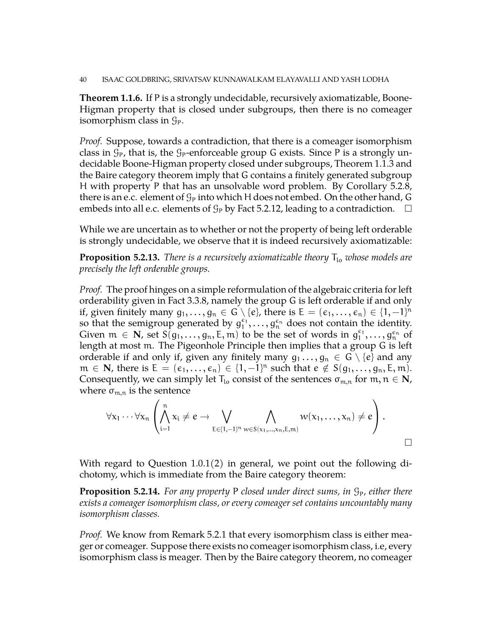**Theorem [1.1.6.](#page-4-0)** If P is a strongly undecidable, recursively axiomatizable, Boone-Higman property that is closed under subgroups, then there is no comeager isomorphism class in  $\mathcal{G}_P$ .

*Proof.* Suppose, towards a contradiction, that there is a comeager isomorphism class in  $\mathcal{G}_P$ , that is, the  $\mathcal{G}_P$ -enforceable group G exists. Since P is a strongly undecidable Boone-Higman property closed under subgroups, Theorem [1.1.3](#page-3-1) and the Baire category theorem imply that G contains a finitely generated subgroup H with property P that has an unsolvable word problem. By Corollary [5.2.8,](#page-37-0) there is an e.c. element of  $\mathcal{G}_P$  into which H does not embed. On the other hand, G embeds into all e.c. elements of  $\mathcal{G}_P$  by Fact [5.2.12,](#page-38-0) leading to a contradiction.  $\Box$ 

While we are uncertain as to whether or not the property of being left orderable is strongly undecidable, we observe that it is indeed recursively axiomatizable:

<span id="page-39-0"></span>**Proposition 5.2.13.** *There is a recursively axiomatizable theory*  $T_{lo}$  *whose models are precisely the left orderable groups.*

*Proof.* The proof hinges on a simple reformulation of the algebraic criteria for left orderability given in Fact [3.3.8,](#page-17-0) namely the group G is left orderable if and only if, given finitely many  $g_1,\ldots,g_n\in G\setminus\{e\}$ , there is  $\mathsf{E}=(\epsilon_1,\ldots,\epsilon_n)\in\{1,-1\}^n$ so that the semigroup generated by  $g_1^{\epsilon_1}, \ldots, g_n^{\epsilon_n}$  does not contain the identity. Given  $m \in \mathbb{N}$ , set  $S(g_1, \ldots, g_n, E, m)$  to be the set of words in  $g_1^{\epsilon_1}, \ldots, g_n^{\epsilon_n}$  of length at most m. The Pigeonhole Principle then implies that a group G is left orderable if and only if, given any finitely many  $g_1 \ldots, g_n \in G \setminus \{e\}$  and any  $m \in \mathbb{N}$ , there is  $E = (\epsilon_1, ..., \epsilon_n) \in \{1, -1\}^n$  such that  $e \notin S(g_1, ..., g_n, E, m)$ . Consequently, we can simply let  $T_{l_0}$  consist of the sentences  $\sigma_{m,n}$  for  $m, n \in \mathbb{N}$ , where  $\sigma_{m,n}$  is the sentence

$$
\forall x_1 \cdots \forall x_n \left( \bigwedge_{i=1}^n x_i \neq e \rightarrow \bigvee_{E \in \{1,-1\}^n} \bigwedge_{w \in S(x_1,\ldots,x_n,E,m)} w(x_1,\ldots,x_n) \neq e \right).
$$

With regard to Question [1.0.1\(](#page-1-1)2) in general, we point out the following dichotomy, which is immediate from the Baire category theorem:

**Proposition 5.2.14.** For any property P closed under direct sums, in  $\mathcal{G}_P$ , either there *exists a comeager isomorphism class, or every comeager set contains uncountably many isomorphism classes.*

*Proof.* We know from Remark [5.2.1](#page-34-1) that every isomorphism class is either meager or comeager. Suppose there exists no comeager isomorphism class, i.e, every isomorphism class is meager. Then by the Baire category theorem, no comeager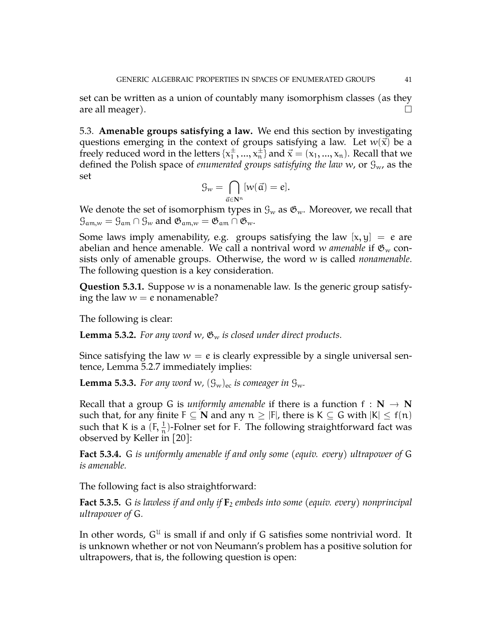set can be written as a union of countably many isomorphism classes (as they are all meager).  $\Box$ 

5.3. **Amenable groups satisfying a law.** We end this section by investigating questions emerging in the context of groups satisfying a law. Let  $w(\vec{x})$  be a freely reduced word in the letters  $\{x_1^{\pm}\}$  $\{\vec{x}_1, ..., \vec{x}_n\}$  and  $\vec{x} = (x_1, ..., x_n)$ . Recall that we defined the Polish space of *enumerated groups satisfying the law* w, or Gw, as the set

$$
\mathcal{G}_w = \bigcap_{\vec{\alpha} \in \mathbf{N}^n} [w(\vec{\alpha}) = e].
$$

We denote the set of isomorphism types in  $\mathcal{G}_w$  as  $\mathfrak{G}_w$ . Moreover, we recall that  $\mathcal{G}_{am,w} = \mathcal{G}_{am} \cap \mathcal{G}_{w}$  and  $\mathfrak{G}_{am,w} = \mathfrak{G}_{am} \cap \mathfrak{G}_{w}$ .

Some laws imply amenability, e.g. groups satisfying the law  $[x, y] = e$  are abelian and hence amenable. We call a nontrival word w *amenable* if  $\mathfrak{G}_{w}$  consists only of amenable groups. Otherwise, the word w is called *nonamenable*. The following question is a key consideration.

**Question 5.3.1.** Suppose w is a nonamenable law. Is the generic group satisfying the law  $w = e$  nonamenable?

The following is clear:

**Lemma 5.3.2.** For any word w,  $\mathfrak{G}_w$  is closed under direct products.

Since satisfying the law  $w = e$  is clearly expressible by a single universal sentence, Lemma [5.2.7](#page-36-1) immediately implies:

**Lemma 5.3.3.** For any word w,  $(\mathcal{G}_w)_{\text{ec}}$  *is comeager in*  $\mathcal{G}_w$ *.* 

Recall that a group G is *uniformly amenable* if there is a function  $f : N \to N$ such that, for any finite  $F \subseteq N$  and any  $n \geq |F|$ , there is  $K \subseteq G$  with  $|K| \leq f(n)$ such that K is a  $(F, \frac{1}{n})$ -Folner set for F. The following straightforward fact was observed by Keller in [\[20\]](#page-44-18):

**Fact 5.3.4.** G *is uniformly amenable if and only some (equiv. every) ultrapower of* G *is amenable.*

The following fact is also straightforward:

<span id="page-40-0"></span>**Fact 5.3.5.** G *is lawless if and only if*  $\mathbf{F}_2$  *embeds into some (equiv. every) nonprincipal ultrapower of* G*.*

In other words,  $G^{U}$  is small if and only if G satisfies some nontrivial word. It is unknown whether or not von Neumann's problem has a positive solution for ultrapowers, that is, the following question is open: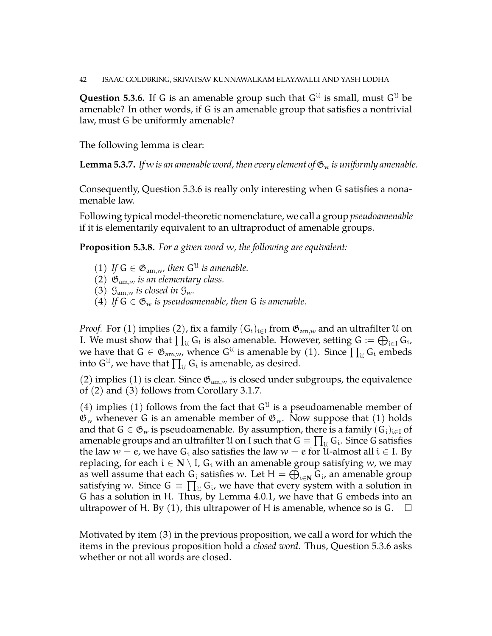42 ISAAC GOLDBRING, SRIVATSAV KUNNAWALKAM ELAYAVALLI AND YASH LODHA

<span id="page-41-0"></span>**Question 5.3.6.** If G is an amenable group such that  $G^{\mathcal{U}}$  is small, must  $G^{\mathcal{U}}$  be amenable? In other words, if G is an amenable group that satisfies a nontrivial law, must G be uniformly amenable?

The following lemma is clear:

**Lemma 5.3.7.** *If* w *is an amenable word, then every element of*  $\mathfrak{G}_w$  *is uniformly amenable.* 

Consequently, Question [5.3.6](#page-41-0) is really only interesting when G satisfies a nonamenable law.

Following typical model-theoretic nomenclature, we call a group *pseudoamenable* if it is elementarily equivalent to an ultraproduct of amenable groups.

**Proposition 5.3.8.** *For a given word* w*, the following are equivalent:*

- (1) If  $G \in \mathfrak{G}_{am,w}$ , then  $G^{\mathfrak{U}}$  is amenable.
- (2)  $\mathfrak{G}_{am,w}$  *is an elementary class.*
- (3)  $\mathcal{G}_{am,w}$  *is closed in*  $\mathcal{G}_{w}$ *.*
- (4) *If*  $G \in \mathfrak{G}_w$  *is pseudoamenable, then* G *is amenable.*

*Proof.* For (1) implies (2), fix a family  $(G_i)_{i\in I}$  from  $\mathfrak{G}_{am,w}$  and an ultrafilter U on I. We must show that  $\prod_u G_i$  is also amenable. However, setting  $G := \bigoplus_{i \in I} G_i$ , we have that  $G \in \mathfrak{G}_{am,w}$ , whence  $G^{\mathfrak{U}}$  is amenable by (1). Since  $\prod_{\mathfrak{U}} G_i$  embeds into  $\mathsf{G}^{\mathfrak{U}}$ , we have that  $\prod_{\mathfrak{U}}\mathsf{G}_{\mathfrak{i}}$  is amenable, as desired.

(2) implies (1) is clear. Since  $\mathfrak{G}_{am,w}$  is closed under subgroups, the equivalence of (2) and (3) follows from Corollary [3.1.7.](#page-13-1)

(4) implies (1) follows from the fact that  $G^{\mathfrak{U}}$  is a pseudoamenable member of  $\mathfrak{G}_w$  whenever G is an amenable member of  $\mathfrak{G}_w$ . Now suppose that (1) holds and that  $G \in \mathfrak{G}_w$  is pseudoamenable. By assumption, there is a family  $(G_i)_{i \in I}$  of amenable groups and an ultrafilter  $\mathfrak U$  on I such that  $\mathsf G\equiv\prod_\mathfrak U\mathsf G_\mathfrak i.$  Since  $\mathsf G$  satisfies the law  $w = e$ , we have  $G_i$  also satisfies the law  $w = e$  for U-almost all  $i \in I$ . By replacing, for each  $i \in \mathbb{N} \setminus I$ ,  $G_i$  with an amenable group satisfying w, we may as well assume that each  $G_i$  satisfies w. Let  $H = \bigoplus_{i \in \mathbb{N}} G_i$ , an amenable group satisfying w. Since  $G = \prod_u G_i$ , we have that every system with a solution in G has a solution in H. Thus, by Lemma [4.0.1,](#page-26-0) we have that G embeds into an ultrapower of H. By (1), this ultrapower of H is amenable, whence so is G.  $\Box$ 

Motivated by item (3) in the previous proposition, we call a word for which the items in the previous proposition hold a *closed word*. Thus, Question [5.3.6](#page-41-0) asks whether or not all words are closed.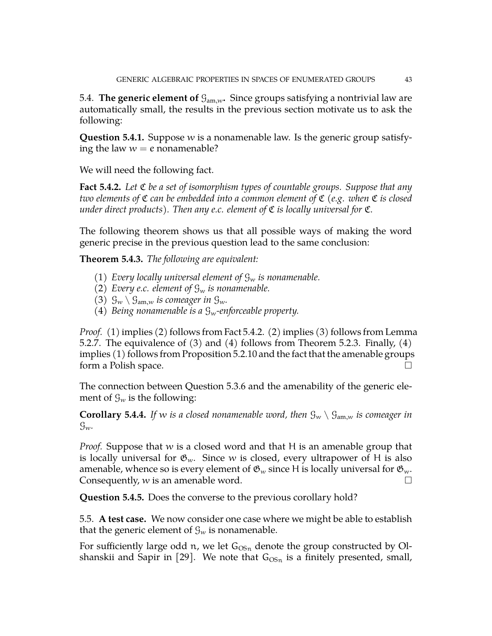5.4. **The generic element of**  $\mathcal{G}_{am,w}$ . Since groups satisfying a nontrivial law are automatically small, the results in the previous section motivate us to ask the following:

**Question 5.4.1.** Suppose w is a nonamenable law. Is the generic group satisfying the law  $w = e$  nonamenable?

We will need the following fact.

<span id="page-42-0"></span>**Fact 5.4.2.** *Let* C *be a set of isomorphism types of countable groups. Suppose that any two elements of* C *can be embedded into a common element of* C *(e.g. when* C *is closed under direct products). Then any e.c. element of* C *is locally universal for* C*.*

The following theorem shows us that all possible ways of making the word generic precise in the previous question lead to the same conclusion:

**Theorem 5.4.3.** *The following are equivalent:*

- (1) *Every locally universal element of*  $\mathcal{G}_w$  *is nonamenable.*
- (2) *Every e.c. element of*  $\mathcal{G}_w$  *is nonamenable.*
- (3)  $\mathcal{G}_w \setminus \mathcal{G}_{am,w}$  *is comeager in*  $\mathcal{G}_w$ *.*
- (4) *Being nonamenable is a*  $\mathcal{G}_w$ -enforceable property.

*Proof.* (1) implies (2) follows from Fact [5.4.2.](#page-42-0) (2) implies (3) follows from Lemma [5.2.7.](#page-36-1) The equivalence of (3) and (4) follows from Theorem [5.2.3.](#page-35-2) Finally, (4) implies (1) follows from Proposition [5.2.10](#page-38-1) and the fact that the amenable groups form a Polish space.

The connection between Question [5.3.6](#page-41-0) and the amenability of the generic element of  $\mathcal{G}_w$  is the following:

**Corollary 5.4.4.** If w *is a closed nonamenable word, then*  $\mathcal{G}_w \setminus \mathcal{G}_{am,w}$  *is comeager in* Gw*.*

*Proof.* Suppose that w is a closed word and that H is an amenable group that is locally universal for  $\mathfrak{G}_w$ . Since w is closed, every ultrapower of H is also amenable, whence so is every element of  $\mathfrak{G}_w$  since H is locally universal for  $\mathfrak{G}_w$ . Consequently,  $w$  is an amenable word.  $\square$ 

**Question 5.4.5.** Does the converse to the previous corollary hold?

5.5. **A test case.** We now consider one case where we might be able to establish that the generic element of  $\mathcal{G}_w$  is nonamenable.

For sufficiently large odd n, we let  $G_{OSn}$  denote the group constructed by Ol-shanskii and Sapir in [\[29\]](#page-44-19). We note that  $G_{OSn}$  is a finitely presented, small,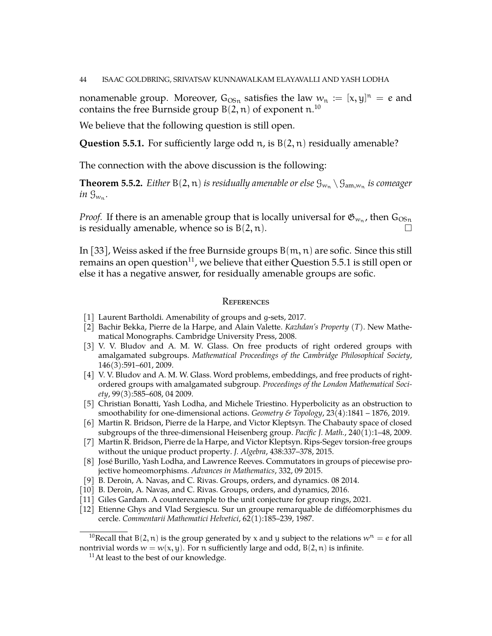nonamenable group. Moreover,  $G_{OSn}$  satisfies the law  $w_n := [x, y]^n = e$  and contains the free Burnside group B $(2,\mathfrak{n})$  of exponent  $\mathfrak{n}.^{10}$  $\mathfrak{n}.^{10}$  $\mathfrak{n}.^{10}$ 

We believe that the following question is still open.

<span id="page-43-14"></span>**Question 5.5.1.** For sufficiently large odd  $n$ , is  $B(2, n)$  residually amenable?

The connection with the above discussion is the following:

**Theorem 5.5.2.** Either  $B(2, n)$  is residually amenable or else  $\mathcal{G}_{w_n} \setminus \mathcal{G}_{\text{am},w_n}$  is comeager *in*  $\mathcal{G}_{w_n}$ .

*Proof.* If there is an amenable group that is locally universal for  $\mathfrak{G}_{w_n}$ , then  $\mathsf{G}_{\mathrm{OSn}}$ is residually amenable, whence so is  $B(2, n)$ .

In [\[33\]](#page-44-20), Weiss asked if the free Burnside groups  $B(m, n)$  are sofic. Since this still remains an open question<sup>[11](#page-43-13)</sup>, we believe that either Question [5.5.1](#page-43-14) is still open or else it has a negative answer, for residually amenable groups are sofic.

#### **REFERENCES**

- <span id="page-43-1"></span>[1] Laurent Bartholdi. Amenability of groups and g-sets, 2017.
- <span id="page-43-9"></span>[2] Bachir Bekka, Pierre de la Harpe, and Alain Valette. *Kazhdan's Property (T)*. New Mathematical Monographs. Cambridge University Press, 2008.
- <span id="page-43-5"></span>[3] V. V. Bludov and A. M. W. Glass. On free products of right ordered groups with amalgamated subgroups. *Mathematical Proceedings of the Cambridge Philosophical Society*, 146(3):591–601, 2009.
- <span id="page-43-0"></span>[4] V. V. Bludov and A. M. W. Glass. Word problems, embeddings, and free products of rightordered groups with amalgamated subgroup. *Proceedings of the London Mathematical Society*, 99(3):585–608, 04 2009.
- <span id="page-43-10"></span>[5] Christian Bonatti, Yash Lodha, and Michele Triestino. Hyperbolicity as an obstruction to smoothability for one-dimensional actions. *Geometry & Topology*, 23(4):1841 – 1876, 2019.
- <span id="page-43-3"></span>[6] Martin R. Bridson, Pierre de la Harpe, and Victor Kleptsyn. The Chabauty space of closed subgroups of the three-dimensional Heisenberg group. *Pacific J. Math.*, 240(1):1–48, 2009.
- <span id="page-43-11"></span>[7] Martin R. Bridson, Pierre de la Harpe, and Victor Kleptsyn. Rips-Segev torsion-free groups without the unique product property. *J. Algebra*, 438:337–378, 2015.
- <span id="page-43-7"></span>[8] José Burillo, Yash Lodha, and Lawrence Reeves. Commutators in groups of piecewise projective homeomorphisms. *Advances in Mathematics*, 332, 09 2015.
- <span id="page-43-4"></span>[9] B. Deroin, A. Navas, and C. Rivas. Groups, orders, and dynamics. 08 2014.
- <span id="page-43-6"></span>[10] B. Deroin, A. Navas, and C. Rivas. Groups, orders, and dynamics, 2016.
- <span id="page-43-2"></span>[11] Giles Gardam. A counterexample to the unit conjecture for group rings, 2021.
- <span id="page-43-8"></span>[12] Etienne Ghys and Vlad Sergiescu. Sur un groupe remarquable de difféomorphismes du cercle. *Commentarii Mathematici Helvetici*, 62(1):185–239, 1987.

<span id="page-43-12"></span><sup>&</sup>lt;sup>10</sup>Recall that B(2, n) is the group generated by x and y subject to the relations  $w<sup>n</sup> = e$  for all nontrivial words  $w = w(x, y)$ . For n sufficiently large and odd,  $B(2, n)$  is infinite.

<span id="page-43-13"></span> $11$ At least to the best of our knowledge.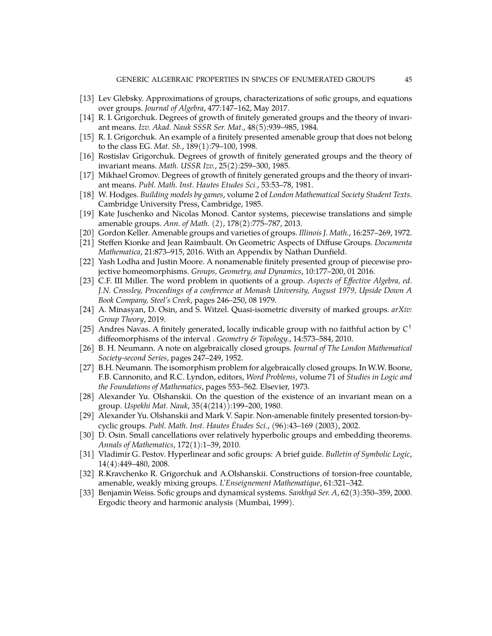- <span id="page-44-7"></span>[13] Lev Glebsky. Approximations of groups, characterizations of sofic groups, and equations over groups. *Journal of Algebra*, 477:147–162, May 2017.
- <span id="page-44-3"></span>[14] R. I. Grigorchuk. Degrees of growth of finitely generated groups and the theory of invariant means. *Izv. Akad. Nauk SSSR Ser. Mat.*, 48(5):939–985, 1984.
- <span id="page-44-4"></span>[15] R. I. Grigorchuk. An example of a finitely presented amenable group that does not belong to the class EG. *Mat. Sb.*, 189(1):79–100, 1998.
- <span id="page-44-8"></span>[16] Rostislav Grigorchuk. Degrees of growth of finitely generated groups and the theory of invariant means. *Math. USSR Izv.*, 25(2):259–300, 1985.
- <span id="page-44-9"></span>[17] Mikhael Gromov. Degrees of growth of finitely generated groups and the theory of invariant means. *Publ. Math. Inst. Hautes Etudes Sci.*, 53:53–78, 1981.
- <span id="page-44-1"></span>[18] W. Hodges. *Building models by games*, volume 2 of *London Mathematical Society Student Texts*. Cambridge University Press, Cambridge, 1985.
- <span id="page-44-15"></span>[19] Kate Juschenko and Nicolas Monod. Cantor systems, piecewise translations and simple amenable groups. *Ann. of Math. (2)*, 178(2):775–787, 2013.
- <span id="page-44-18"></span>[20] Gordon Keller. Amenable groups and varieties of groups. *Illinois J. Math.*, 16:257–269, 1972.
- <span id="page-44-17"></span>[21] Steffen Kionke and Jean Raimbault. On Geometric Aspects of Diffuse Groups. *Documenta Mathematica*, 21:873–915, 2016. With an Appendix by Nathan Dunfield.
- <span id="page-44-5"></span>[22] Yash Lodha and Justin Moore. A nonamenable finitely presented group of piecewise projective homeomorphisms. *Groups, Geometry, and Dynamics*, 10:177–200, 01 2016.
- <span id="page-44-0"></span>[23] C.F. III Miller. The word problem in quotients of a group. *Aspects of Effective Algebra, ed. J.N. Crossley, Proceedings of a conference at Monash University, August 1979, Upside Down A Book Company, Steel's Creek*, pages 246–250, 08 1979.
- <span id="page-44-10"></span>[24] A. Minasyan, D. Osin, and S. Witzel. Quasi-isometric diversity of marked groups. *arXiv: Group Theory*, 2019.
- <span id="page-44-16"></span>[25] Andres Navas. A finitely generated, locally indicable group with no faithful action by  $C<sup>1</sup>$ diffeomorphisms of the interval . *Geometry & Topology.*, 14:573–584, 2010.
- <span id="page-44-14"></span>[26] B. H. Neumann. A note on algebraically closed groups. *Journal of The London Mathematical Society-second Series*, pages 247–249, 1952.
- <span id="page-44-13"></span>[27] B.H. Neumann. The isomorphism problem for algebraically closed groups. In W.W. Boone, F.B. Cannonito, and R.C. Lyndon, editors, *Word Problems*, volume 71 of *Studies in Logic and the Foundations of Mathematics*, pages 553–562. Elsevier, 1973.
- <span id="page-44-2"></span>[28] Alexander Yu. Olshanskii. On the question of the existence of an invariant mean on a group. *Uspekhi Mat. Nauk*, 35(4(214)):199–200, 1980.
- <span id="page-44-19"></span>[29] Alexander Yu. Olshanskii and Mark V. Sapir. Non-amenable finitely presented torsion-bycyclic groups. *Publ. Math. Inst. Hautes Études Sci.*, (96):43–169 (2003), 2002.
- <span id="page-44-12"></span>[30] D. Osin. Small cancellations over relatively hyperbolic groups and embedding theorems. *Annals of Mathematics*, 172(1):1–39, 2010.
- <span id="page-44-6"></span>[31] Vladimir G. Pestov. Hyperlinear and sofic groups: A brief guide. *Bulletin of Symbolic Logic*, 14(4):449–480, 2008.
- <span id="page-44-11"></span>[32] R.Kravchenko R. Grigorchuk and A.Olshanskii. Constructions of torsion-free countable, amenable, weakly mixing groups. *L'Enseignement Mathematique*, 61:321–342.
- <span id="page-44-20"></span>[33] Benjamin Weiss. Sofic groups and dynamical systems. *Sankhyā Ser. A*, 62(3):350–359, 2000. Ergodic theory and harmonic analysis (Mumbai, 1999).